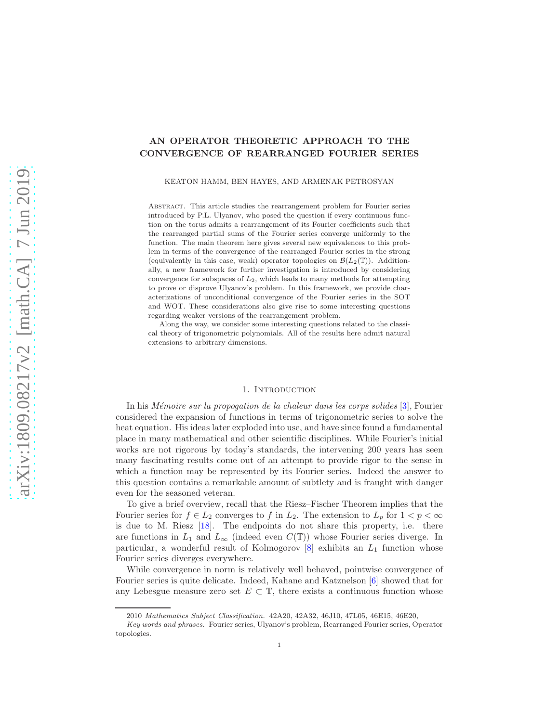# AN OPERATOR THEORETIC APPROACH TO THE CONVERGENCE OF REARRANGED FOURIER SERIES

KEATON HAMM, BEN HAYES, AND ARMENAK PETROSYAN

Abstract. This article studies the rearrangement problem for Fourier series introduced by P.L. Ulyanov, who posed the question if every continuous function on the torus admits a rearrangement of its Fourier coefficients such that the rearranged partial sums of the Fourier series converge uniformly to the function. The main theorem here gives several new equivalences to this problem in terms of the convergence of the rearranged Fourier series in the strong (equivalently in this case, weak) operator topologies on  $\mathcal{B}(L_2(\mathbb{T}))$ . Additionally, a new framework for further investigation is introduced by considering convergence for subspaces of  $L_2$ , which leads to many methods for attempting to prove or disprove Ulyanov's problem. In this framework, we provide characterizations of unconditional convergence of the Fourier series in the SOT and WOT. These considerations also give rise to some interesting questions regarding weaker versions of the rearrangement problem.

Along the way, we consider some interesting questions related to the classical theory of trigonometric polynomials. All of the results here admit natural extensions to arbitrary dimensions.

## 1. INTRODUCTION

In his *Mémoire sur la propogation de la chaleur dans les corps solides*  $[3]$ , Fourier considered the expansion of functions in terms of trigonometric series to solve the heat equation. His ideas later exploded into use, and have since found a fundamental place in many mathematical and other scientific disciplines. While Fourier's initial works are not rigorous by today's standards, the intervening 200 years has seen many fascinating results come out of an attempt to provide rigor to the sense in which a function may be represented by its Fourier series. Indeed the answer to this question contains a remarkable amount of subtlety and is fraught with danger even for the seasoned veteran.

To give a brief overview, recall that the Riesz–Fischer Theorem implies that the Fourier series for  $f \in L_2$  converges to f in  $L_2$ . The extension to  $L_p$  for  $1 < p < \infty$ is due to M. Riesz [\[18\]](#page-24-0). The endpoints do not share this property, i.e. there are functions in  $L_1$  and  $L_\infty$  (indeed even  $C(\mathbb{T})$ ) whose Fourier series diverge. In particular, a wonderful result of Kolmogorov  $[8]$  exhibits an  $L_1$  function whose Fourier series diverges everywhere.

While convergence in norm is relatively well behaved, pointwise convergence of Fourier series is quite delicate. Indeed, Kahane and Katznelson [\[6\]](#page-23-1) showed that for any Lebesgue measure zero set  $E \subset \mathbb{T}$ , there exists a continuous function whose

<sup>2010</sup> *Mathematics Subject Classification.* 42A20, 42A32, 46J10, 47L05, 46E15, 46E20,

*Key words and phrases.* Fourier series, Ulyanov's problem, Rearranged Fourier series, Operator topologies.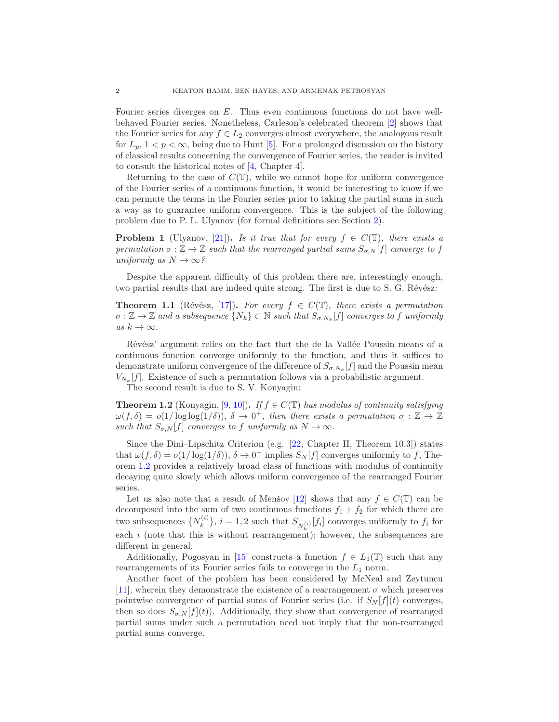Fourier series diverges on E. Thus even continuous functions do not have wellbehaved Fourier series. Nonetheless, Carleson's celebrated theorem [\[2\]](#page-23-2) shows that the Fourier series for any  $f \in L_2$  converges almost everywhere, the analogous result for  $L_p$ ,  $1 < p < \infty$ , being due to Hunt [\[5\]](#page-23-3). For a prolonged discussion on the history of classical results concerning the convergence of Fourier series, the reader is invited to consult the historical notes of [\[4,](#page-23-4) Chapter 4].

Returning to the case of  $C(\mathbb{T})$ , while we cannot hope for uniform convergence of the Fourier series of a continuous function, it would be interesting to know if we can permute the terms in the Fourier series prior to taking the partial sums in such a way as to guarantee uniform convergence. This is the subject of the following problem due to P. L. Ulyanov (for formal definitions see Section [2\)](#page-4-0).

**Problem 1** (Ulyanov, [\[21\]](#page-24-2)). Is it true that for every  $f \in C(\mathbb{T})$ , there exists a permutation  $\sigma : \mathbb{Z} \to \mathbb{Z}$  such that the rearranged partial sums  $S_{\sigma,N}[f]$  converge to f uniformly as  $N \to \infty$ ?

Despite the apparent difficulty of this problem there are, interestingly enough, two partial results that are indeed quite strong. The first is due to S. G. Révész:

<span id="page-1-1"></span>**Theorem 1.1** (Révész, [\[17\]](#page-24-3)). For every  $f \in C(\mathbb{T})$ , there exists a permutation  $\sigma : \mathbb{Z} \to \mathbb{Z}$  and a subsequence  $\{N_k\} \subset \mathbb{N}$  such that  $S_{\sigma, N_k}[f]$  converges to f uniformly as  $k \to \infty$ .

Révész' argument relies on the fact that the de la Vallée Poussin means of a continuous function converge uniformly to the function, and thus it suffices to demonstrate uniform convergence of the difference of  $S_{\sigma, N_k}[f]$  and the Poussin mean  $V_{N_k}[f]$ . Existence of such a permutation follows via a probabilistic argument.

The second result is due to S. V. Konyagin:

<span id="page-1-0"></span>**Theorem 1.2** (Konyagin, [\[9,](#page-24-4) [10\]](#page-24-5)). If  $f \in C(\mathbb{T})$  has modulus of continuity satisfying  $\omega(f,\delta) = o(1/\log \log(1/\delta)), \delta \to 0^+,$  then there exists a permutation  $\sigma : \mathbb{Z} \to \mathbb{Z}$ such that  $S_{\sigma,N}[f]$  converges to f uniformly as  $N \to \infty$ .

Since the Dini–Lipschitz Criterion (e.g. [\[22,](#page-24-6) Chapter II, Theorem 10.3]) states that  $\omega(f,\delta) = o(1/\log(1/\delta)), \delta \to 0^+$  implies  $S_N[f]$  converges uniformly to f, Theorem [1.2](#page-1-0) provides a relatively broad class of functions with modulus of continuity decaying quite slowly which allows uniform convergence of the rearranged Fourier series.

Let us also note that a result of Menšov [\[12\]](#page-24-7) shows that any  $f \in C(\mathbb{T})$  can be decomposed into the sum of two continuous functions  $f_1 + f_2$  for which there are two subsequences  $\{N_k^{(i)}\}$  $\{k^{(i)}\}, i = 1, 2$  such that  $S_{N_k^{(i)}}[f_i]$  converges uniformly to  $f_i$  for each  $i$  (note that this is without rearrangement); however, the subsequences are different in general.

Additionally, Pogosyan in [\[15\]](#page-24-8) constructs a function  $f \in L_1(\mathbb{T})$  such that any rearrangements of its Fourier series fails to converge in the  $L_1$  norm.

Another facet of the problem has been considered by McNeal and Zeytuncu [\[11\]](#page-24-9), wherein they demonstrate the existence of a rearrangement  $\sigma$  which preserves pointwise convergence of partial sums of Fourier series (i.e. if  $S_N[f](t)$  converges, then so does  $S_{\sigma, N}[f](t)$ . Additionally, they show that convergence of rearranged partial sums under such a permutation need not imply that the non-rearranged partial sums converge.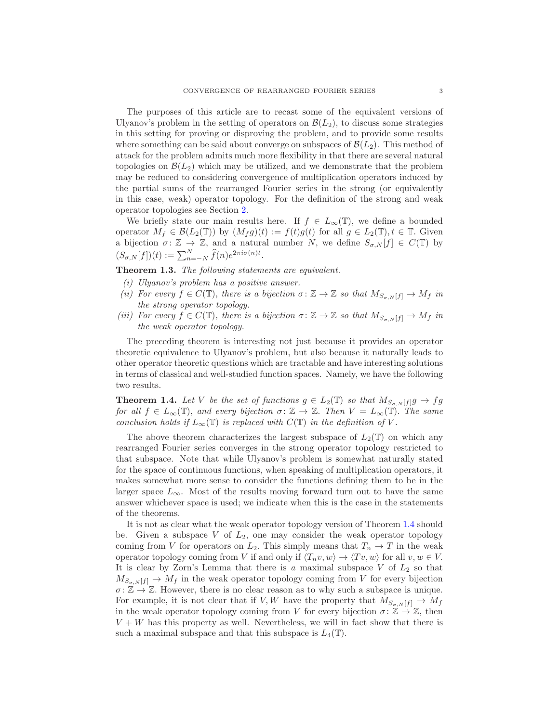The purposes of this article are to recast some of the equivalent versions of Ulyanov's problem in the setting of operators on  $\mathcal{B}(L_2)$ , to discuss some strategies in this setting for proving or disproving the problem, and to provide some results where something can be said about converge on subspaces of  $\mathcal{B}(L_2)$ . This method of attack for the problem admits much more flexibility in that there are several natural topologies on  $\mathcal{B}(L_2)$  which may be utilized, and we demonstrate that the problem may be reduced to considering convergence of multiplication operators induced by the partial sums of the rearranged Fourier series in the strong (or equivalently in this case, weak) operator topology. For the definition of the strong and weak operator topologies see Section [2.](#page-4-0)

We briefly state our main results here. If  $f \in L_{\infty}(\mathbb{T})$ , we define a bounded operator  $M_f \in \mathcal{B}(L_2(\mathbb{T}))$  by  $(M_f g)(t) := f(t)g(t)$  for all  $g \in L_2(\mathbb{T}), t \in \mathbb{T}$ . Given a bijection  $\sigma: \mathbb{Z} \to \mathbb{Z}$ , and a natural number N, we define  $S_{\sigma, N}[f] \in C(\mathbb{T})$  by  $(S_{\sigma,N}[f])(t) := \sum_{n=-N}^{N} \widehat{f}(n)e^{2\pi i \sigma(n)t}.$ 

<span id="page-2-1"></span>Theorem 1.3. The following statements are equivalent.

- (i) Ulyanov's problem has a positive answer.
- (ii) For every  $f \in C(\mathbb{T})$ , there is a bijection  $\sigma \colon \mathbb{Z} \to \mathbb{Z}$  so that  $M_{S_{\sigma N}[f]} \to M_f$  in the strong operator topology.
- (iii) For every  $f \in C(\mathbb{T})$ , there is a bijection  $\sigma \colon \mathbb{Z} \to \mathbb{Z}$  so that  $M_{S_{\sigma,N}[f]} \to M_f$  in the weak operator topology.

The preceding theorem is interesting not just because it provides an operator theoretic equivalence to Ulyanov's problem, but also because it naturally leads to other operator theoretic questions which are tractable and have interesting solutions in terms of classical and well-studied function spaces. Namely, we have the following two results.

<span id="page-2-0"></span>**Theorem 1.4.** Let V be the set of functions  $g \in L_2(\mathbb{T})$  so that  $M_{S_{\sigma,N}[f]}g \to fg$ for all  $f \in L_{\infty}(\mathbb{T})$ , and every bijection  $\sigma: \mathbb{Z} \to \mathbb{Z}$ . Then  $V = L_{\infty}(\mathbb{T})$ . The same conclusion holds if  $L_{\infty}(\mathbb{T})$  is replaced with  $C(\mathbb{T})$  in the definition of V.

The above theorem characterizes the largest subspace of  $L_2(\mathbb{T})$  on which any rearranged Fourier series converges in the strong operator topology restricted to that subspace. Note that while Ulyanov's problem is somewhat naturally stated for the space of continuous functions, when speaking of multiplication operators, it makes somewhat more sense to consider the functions defining them to be in the larger space  $L_{\infty}$ . Most of the results moving forward turn out to have the same answer whichever space is used; we indicate when this is the case in the statements of the theorems.

It is not as clear what the weak operator topology version of Theorem [1.4](#page-2-0) should be. Given a subspace  $V$  of  $L_2$ , one may consider the weak operator topology coming from V for operators on  $L_2$ . This simply means that  $T_n \to T$  in the weak operator topology coming from V if and only if  $\langle T_n v, w \rangle \to \langle Tv, w \rangle$  for all  $v, w \in V$ . It is clear by Zorn's Lemma that there is a maximal subspace  $V$  of  $L_2$  so that  $M_{S_{\sigma,N}[f]} \to M_f$  in the weak operator topology coming from V for every bijection  $\sigma: \mathbb{Z} \to \mathbb{Z}$ . However, there is no clear reason as to why such a subspace is unique. For example, it is not clear that if V, W have the property that  $M_{S_{\sigma,N}[f]} \to M_f$ in the weak operator topology coming from V for every bijection  $\sigma: \mathbb{Z} \to \mathbb{Z}$ , then  $V + W$  has this property as well. Nevertheless, we will in fact show that there is such a maximal subspace and that this subspace is  $L_4(\mathbb{T})$ .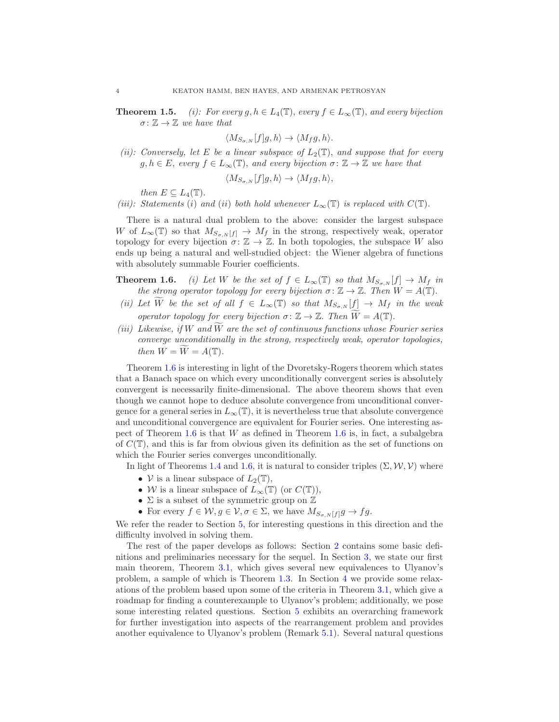**Theorem 1.5.** (i): For every  $g, h \in L_4(\mathbb{T})$ , every  $f \in L_\infty(\mathbb{T})$ , and every bijection  $\sigma \colon \mathbb{Z} \to \mathbb{Z}$  we have that

$$
\langle M_{S_{\sigma,N}}[f]g,h\rangle \to \langle M_f g,h\rangle.
$$

(ii): Conversely, let E be a linear subspace of  $L_2(\mathbb{T})$ , and suppose that for every  $g, h \in E$ , every  $f \in L_{\infty}(\mathbb{T})$ , and every bijection  $\sigma \colon \mathbb{Z} \to \mathbb{Z}$  we have that

$$
\langle M_{S_{\sigma,N}}[f]g,h\rangle \to \langle M_f g,h\rangle,
$$

then  $E \subseteq L_4(\mathbb{T})$ .

(iii): Statements (i) and (ii) both hold whenever  $L_{\infty}(\mathbb{T})$  is replaced with  $C(\mathbb{T})$ .

There is a natural dual problem to the above: consider the largest subspace W of  $L_{\infty}(\mathbb{T})$  so that  $M_{S_{\sigma,N}[f]} \to M_f$  in the strong, respectively weak, operator topology for every bijection  $\sigma: \mathbb{Z} \to \mathbb{Z}$ . In both topologies, the subspace W also ends up being a natural and well-studied object: the Wiener algebra of functions with absolutely summable Fourier coefficients.

- **Theorem 1.6.** (i) Let W be the set of  $f \in L_{\infty}(\mathbb{T})$  so that  $M_{S_{\sigma,N}}[f] \to M_f$  in the strong operator topology for every bijection  $\sigma: \mathbb{Z} \to \mathbb{Z}$ . Then  $W = A(\mathbb{T})$ .
- (ii) Let  $\widetilde{W}$  be the set of all  $f \in L_{\infty}(\mathbb{T})$  so that  $M_{S_{\sigma,N}}[f] \to M_f$  in the weak operator topology for every bijection  $\sigma: \mathbb{Z} \to \mathbb{Z}$ . Then  $W = A(\mathbb{T})$ .
- (iii) Likewise, if W and  $\bar{W}$  are the set of continuous functions whose Fourier series converge unconditionally in the strong, respectively weak, operator topologies, then  $W = \widetilde{W} = A(\mathbb{T}).$

Theorem 1.6 is interesting in light of the Dvoretsky-Rogers theorem which states that a Banach space on which every unconditionally convergent series is absolutely convergent is necessarily finite-dimensional. The above theorem shows that even though we cannot hope to deduce absolute convergence from unconditional convergence for a general series in  $L_{\infty}(\mathbb{T})$ , it is nevertheless true that absolute convergence and unconditional convergence are equivalent for Fourier series. One interesting aspect of Theorem 1.6 is that  $W$  as defined in Theorem 1.6 is, in fact, a subalgebra of  $C(\mathbb{T})$ , and this is far from obvious given its definition as the set of functions on which the Fourier series converges unconditionally.

In light of Theorems [1.4](#page-2-0) and 1.6, it is natural to consider triples  $(\Sigma, \mathcal{W}, \mathcal{V})$  where

- $V$  is a linear subspace of  $L_2(\mathbb{T})$ ,
- W is a linear subspace of  $L_{\infty}(\mathbb{T})$  (or  $C(\mathbb{T})$ ),
- $\Sigma$  is a subset of the symmetric group on  $\mathbb Z$
- For every  $f \in \mathcal{W}, g \in \mathcal{V}, \sigma \in \Sigma$ , we have  $M_{S_{\sigma,N}[f]}g \to fg$ .

We refer the reader to Section [5,](#page-8-0) for interesting questions in this direction and the difficulty involved in solving them.

The rest of the paper develops as follows: Section [2](#page-4-0) contains some basic definitions and preliminaries necessary for the sequel. In Section [3,](#page-5-0) we state our first main theorem, Theorem [3.1,](#page-5-1) which gives several new equivalences to Ulyanov's problem, a sample of which is Theorem [1.3.](#page-2-1) In Section [4](#page-6-0) we provide some relaxations of the problem based upon some of the criteria in Theorem [3.1,](#page-5-1) which give a roadmap for finding a counterexample to Ulyanov's problem; additionally, we pose some interesting related questions. Section [5](#page-8-0) exhibits an overarching framework for further investigation into aspects of the rearrangement problem and provides another equivalence to Ulyanov's problem (Remark [5.1\)](#page-9-0). Several natural questions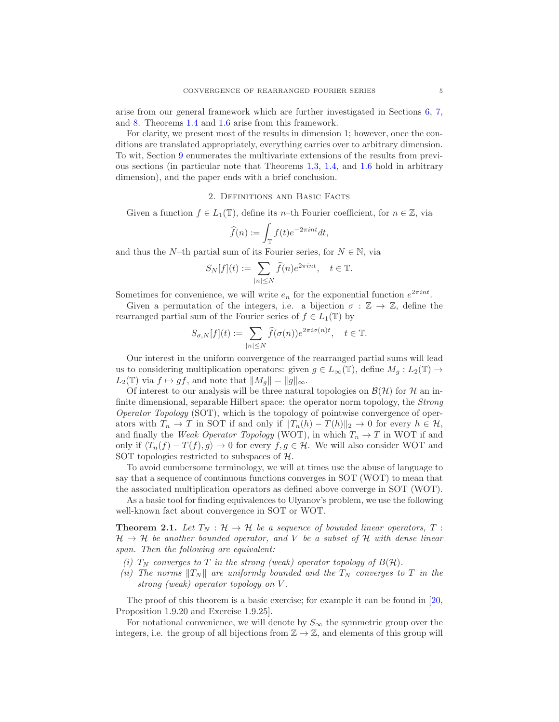arise from our general framework which are further investigated in Sections [6,](#page-9-1) [7,](#page-14-0) and [8.](#page-16-0) Theorems [1.4](#page-2-0) and 1.6 arise from this framework.

For clarity, we present most of the results in dimension 1; however, once the conditions are translated appropriately, everything carries over to arbitrary dimension. To wit, Section [9](#page-20-0) enumerates the multivariate extensions of the results from previous sections (in particular note that Theorems [1.3,](#page-2-1) [1.4,](#page-2-0) and 1.6 hold in arbitrary dimension), and the paper ends with a brief conclusion.

#### 2. Definitions and Basic Facts

<span id="page-4-0"></span>Given a function  $f \in L_1(\mathbb{T})$ , define its n-th Fourier coefficient, for  $n \in \mathbb{Z}$ , via

$$
\widehat{f}(n):=\int_{\mathbb{T}}f(t)e^{-2\pi int}dt,
$$

and thus the N–th partial sum of its Fourier series, for  $N \in \mathbb{N}$ , via

$$
S_N[f](t) := \sum_{|n| \le N} \hat{f}(n) e^{2\pi i nt}, \quad t \in \mathbb{T}.
$$

Sometimes for convenience, we will write  $e_n$  for the exponential function  $e^{2\pi int}$ .

Given a permutation of the integers, i.e. a bijection  $\sigma : \mathbb{Z} \to \mathbb{Z}$ , define the rearranged partial sum of the Fourier series of  $f \in L_1(\mathbb{T})$  by

$$
S_{\sigma,N}[f](t) := \sum_{|n| \le N} \widehat{f}(\sigma(n)) e^{2\pi i \sigma(n)t}, \quad t \in \mathbb{T}.
$$

Our interest in the uniform convergence of the rearranged partial sums will lead us to considering multiplication operators: given  $g \in L_{\infty}(\mathbb{T})$ , define  $M_q: L_2(\mathbb{T}) \to$  $L_2(\mathbb{T})$  via  $f \mapsto gf$ , and note that  $||M_q|| = ||g||_{\infty}$ .

Of interest to our analysis will be three natural topologies on  $\mathcal{B}(\mathcal{H})$  for H an infinite dimensional, separable Hilbert space: the operator norm topology, the Strong Operator Topology (SOT), which is the topology of pointwise convergence of operators with  $T_n \to T$  in SOT if and only if  $||T_n(h) - T(h)||_2 \to 0$  for every  $h \in \mathcal{H}$ , and finally the Weak Operator Topology (WOT), in which  $T_n \to T$  in WOT if and only if  $\langle T_n(f) - T(f), g \rangle$  → 0 for every  $f, g \in \mathcal{H}$ . We will also consider WOT and SOT topologies restricted to subspaces of  $H$ .

To avoid cumbersome terminology, we will at times use the abuse of language to say that a sequence of continuous functions converges in SOT (WOT) to mean that the associated multiplication operators as defined above converge in SOT (WOT).

As a basic tool for finding equivalences to Ulyanov's problem, we use the following well-known fact about convergence in SOT or WOT.

<span id="page-4-1"></span>**Theorem 2.1.** Let  $T_N : \mathcal{H} \to \mathcal{H}$  be a sequence of bounded linear operators, T:  $H \rightarrow H$  be another bounded operator, and V be a subset of H with dense linear span. Then the following are equivalent:

- (i)  $T_N$  converges to T in the strong (weak) operator topology of  $B(H)$ .
- (ii) The norms  $||T_N||$  are uniformly bounded and the  $T_N$  converges to T in the strong (weak) operator topology on V .

The proof of this theorem is a basic exercise; for example it can be found in [\[20,](#page-24-10) Proposition 1.9.20 and Exercise 1.9.25].

For notational convenience, we will denote by  $S_{\infty}$  the symmetric group over the integers, i.e. the group of all bijections from  $\mathbb{Z} \to \mathbb{Z}$ , and elements of this group will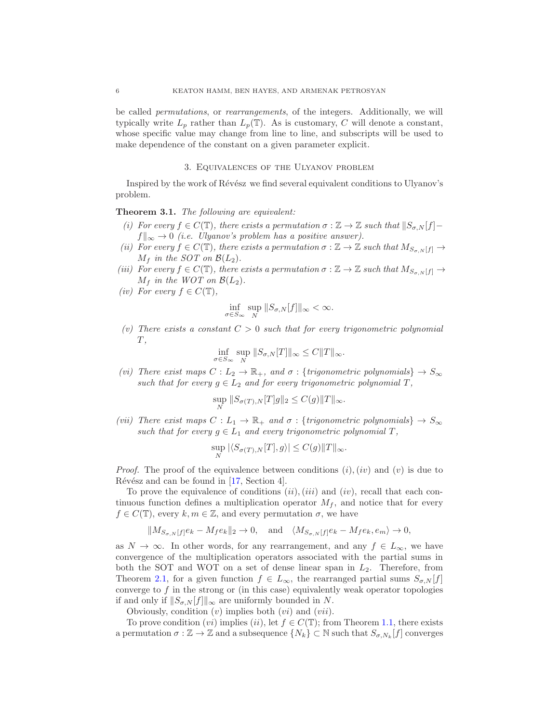be called permutations, or rearrangements, of the integers. Additionally, we will typically write  $L_p$  rather than  $L_p(\mathbb{T})$ . As is customary, C will denote a constant, whose specific value may change from line to line, and subscripts will be used to make dependence of the constant on a given parameter explicit.

#### 3. Equivalences of the Ulyanov problem

<span id="page-5-0"></span>Inspired by the work of Révész we find several equivalent conditions to Ulyanov's problem.

<span id="page-5-1"></span>Theorem 3.1. The following are equivalent:

- (i) For every  $f \in C(\mathbb{T})$ , there exists a permutation  $\sigma : \mathbb{Z} \to \mathbb{Z}$  such that  $||S_{\sigma,N}[f]$  $f\|_{\infty} \to 0$  (i.e. Ulyanov's problem has a positive answer).
- (ii) For every  $f \in C(\mathbb{T})$ , there exists a permutation  $\sigma : \mathbb{Z} \to \mathbb{Z}$  such that  $M_{S_{\sigma,N}[f]} \to$  $M_f$  in the SOT on  $\mathcal{B}(L_2)$ .
- (iii) For every  $f \in C(\mathbb{T})$ , there exists a permutation  $\sigma : \mathbb{Z} \to \mathbb{Z}$  such that  $M_{S_{\sigma N}[f]} \to$  $M_f$  in the WOT on  $\mathcal{B}(L_2)$ .
- (iv) For every  $f \in C(\mathbb{T}),$

$$
\inf_{\sigma \in S_{\infty}} \sup_{N} ||S_{\sigma, N}[f]||_{\infty} < \infty.
$$

(v) There exists a constant  $C > 0$  such that for every trigonometric polynomial  $T,$ 

$$
\inf_{\sigma \in S_{\infty}} \sup_{N} ||S_{\sigma, N}[T]||_{\infty} \leq C ||T||_{\infty}.
$$

<span id="page-5-2"></span>(vi) There exist maps  $C: L_2 \to \mathbb{R}_+$ , and  $\sigma: \{trigonometric polynomials\} \to S_\infty$ such that for every  $g \in L_2$  and for every trigonometric polynomial T,

$$
\sup_N \|S_{\sigma(T),N}[T]g\|_2 \le C(g) \|T\|_{\infty}.
$$

(vii) There exist maps  $C: L_1 \to \mathbb{R}_+$  and  $\sigma: \{trigonometric polynomials\} \to S_{\infty}$ such that for every  $g \in L_1$  and every trigonometric polynomial T,

$$
\sup_{N} |\langle S_{\sigma(T),N}[T], g \rangle| \le C(g) ||T||_{\infty}.
$$

*Proof.* The proof of the equivalence between conditions  $(i)$ ,  $(iv)$  and  $(v)$  is due to Révész and can be found in  $[17, Section 4]$ .

To prove the equivalence of conditions  $(ii), (iii)$  and  $(iv)$ , recall that each continuous function defines a multiplication operator  $M_f$ , and notice that for every  $f \in C(\mathbb{T})$ , every  $k, m \in \mathbb{Z}$ , and every permutation  $\sigma$ , we have

$$
\|M_{S_{\sigma, N}[f]}e_k - M_f e_k\|_2 \to 0, \quad \text{and} \quad \langle M_{S_{\sigma, N}[f]}e_k - M_f e_k, e_m \rangle \to 0,
$$

as  $N \to \infty$ . In other words, for any rearrangement, and any  $f \in L_{\infty}$ , we have convergence of the multiplication operators associated with the partial sums in both the SOT and WOT on a set of dense linear span in  $L_2$ . Therefore, from Theorem [2.1,](#page-4-1) for a given function  $f \in L_{\infty}$ , the rearranged partial sums  $S_{\sigma,N} |f|$ converge to  $f$  in the strong or (in this case) equivalently weak operator topologies if and only if  $||S_{\sigma,N}[f]||_{\infty}$  are uniformly bounded in N.

Obviously, condition  $(v)$  implies both  $(vi)$  and  $(vii)$ .

To prove condition  $(vi)$  implies  $(ii)$ , let  $f \in C(\mathbb{T})$ ; from Theorem [1.1,](#page-1-1) there exists a permutation  $\sigma : \mathbb{Z} \to \mathbb{Z}$  and a subsequence  $\{N_k\} \subset \mathbb{N}$  such that  $S_{\sigma, N_k}[f]$  converges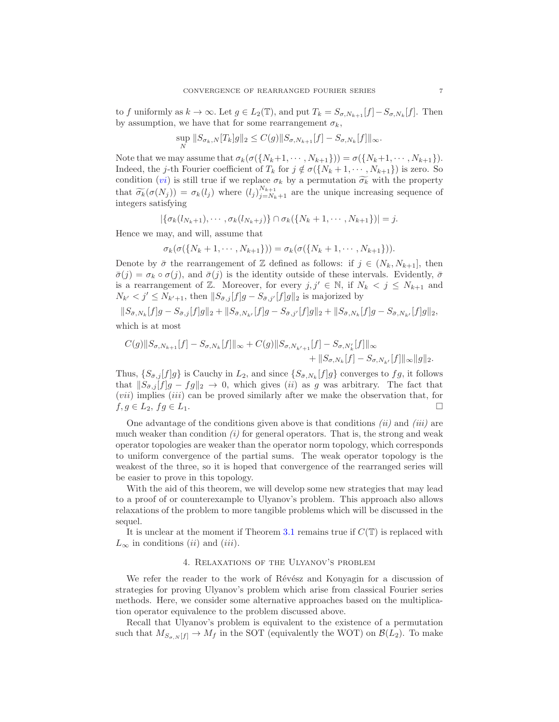to f uniformly as  $k \to \infty$ . Let  $g \in L_2(\mathbb{T})$ , and put  $T_k = S_{\sigma, N_{k+1}}[f] - S_{\sigma, N_k}[f]$ . Then by assumption, we have that for some rearrangement  $\sigma_k$ ,

$$
\sup_{N} \|S_{\sigma_k, N}[T_k]g\|_2 \le C(g) \|S_{\sigma, N_{k+1}}[f] - S_{\sigma, N_k}[f]\|_{\infty}.
$$

Note that we may assume that  $\sigma_k(\sigma(\{N_k+1, \cdots, N_{k+1}\})) = \sigma(\{N_k+1, \cdots, N_{k+1}\}).$ Indeed, the *j*-th Fourier coefficient of  $T_k$  for  $j \notin \sigma({N_k + 1, \dots, N_{k+1}})$  is zero. So condition (*[vi](#page-5-2)*) is still true if we replace  $\sigma_k$  by a permutation  $\widetilde{\sigma_k}$  with the property that  $\widetilde{\sigma_k}(\sigma(N_j)) = \sigma_k(l_j)$  where  $(l_j)_{j=N_k+1}^{N_{k+1}}$  are the unique increasing sequence of integers satisfying

 $|\{\sigma_k(l_{N_k+1}), \cdots, \sigma_k(l_{N_k+j})\} \cap \sigma_k(\{N_k+1, \cdots, N_{k+1}\})| = j.$ 

Hence we may, and will, assume that

$$
\sigma_k(\sigma(\{N_k+1,\cdots,N_{k+1}\}))=\sigma_k(\sigma(\{N_k+1,\cdots,N_{k+1}\})).
$$

Denote by  $\bar{\sigma}$  the rearrangement of Z defined as follows: if  $j \in (N_k, N_{k+1}]$ , then  $\bar{\sigma}(j) = \sigma_k \circ \sigma(j)$ , and  $\bar{\sigma}(j)$  is the identity outside of these intervals. Evidently,  $\bar{\sigma}$ is a rearrangement of Z. Moreover, for every  $j, j' \in \mathbb{N}$ , if  $N_k < j \le N_{k+1}$  and  $N_{k'} < j' \leq N_{k'+1}$ , then  $||S_{\bar{\sigma},j}[f]g - S_{\bar{\sigma},j'}[f]g||_2$  is majorized by

$$
||S_{\bar{\sigma},N_k}[f]g - S_{\bar{\sigma},j}[f]g||_2 + ||S_{\bar{\sigma},N_{k'}}[f]g - S_{\bar{\sigma},j'}[f]g||_2 + ||S_{\bar{\sigma},N_k}[f]g - S_{\bar{\sigma},N_{k'}}[f]g||_2,
$$
  
which is at most

$$
C(g) \|S_{\sigma, N_{k+1}}[f] - S_{\sigma, N_k}[f] \|_{\infty} + C(g) \|S_{\sigma, N_{k'+1}}[f] - S_{\sigma, N'_k}[f] \|_{\infty} + \|S_{\sigma, N_k}[f] - S_{\sigma, N_{k'}}[f] \|_{\infty} \|g\|_2.
$$

Thus,  $\{S_{\bar{\sigma},j}[f]g\}$  is Cauchy in  $L_2$ , and since  $\{S_{\bar{\sigma},N_k}[f]g\}$  converges to  $fg$ , it follows that  $||S_{\bar{\sigma},j}[f]g - fg||_2 \to 0$ , which gives (ii) as g was arbitrary. The fact that  $(vii)$  implies  $(iii)$  can be proved similarly after we make the observation that, for  $f, g \in L_2, fg \in L_1.$ 

One advantage of the conditions given above is that conditions  $(ii)$  and  $(iii)$  are much weaker than condition  $(i)$  for general operators. That is, the strong and weak operator topologies are weaker than the operator norm topology, which corresponds to uniform convergence of the partial sums. The weak operator topology is the weakest of the three, so it is hoped that convergence of the rearranged series will be easier to prove in this topology.

With the aid of this theorem, we will develop some new strategies that may lead to a proof of or counterexample to Ulyanov's problem. This approach also allows relaxations of the problem to more tangible problems which will be discussed in the sequel.

<span id="page-6-0"></span>It is unclear at the moment if Theorem [3.1](#page-5-1) remains true if  $C(\mathbb{T})$  is replaced with  $L_{\infty}$  in conditions *(ii)* and *(iii)*.

#### 4. Relaxations of the Ulyanov's problem

We refer the reader to the work of Révész and Konyagin for a discussion of strategies for proving Ulyanov's problem which arise from classical Fourier series methods. Here, we consider some alternative approaches based on the multiplication operator equivalence to the problem discussed above.

Recall that Ulyanov's problem is equivalent to the existence of a permutation such that  $M_{S_{\sigma,N}[f]} \to M_f$  in the SOT (equivalently the WOT) on  $\mathcal{B}(L_2)$ . To make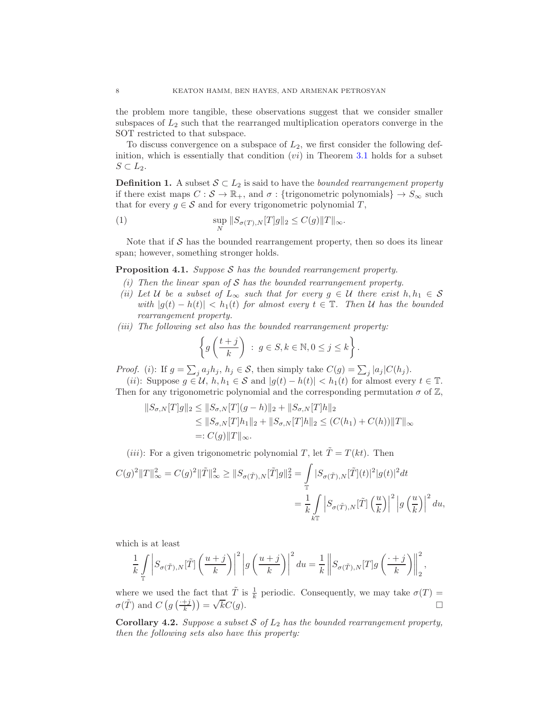the problem more tangible, these observations suggest that we consider smaller subspaces of  $L_2$  such that the rearranged multiplication operators converge in the SOT restricted to that subspace.

To discuss convergence on a subspace of  $L_2$ , we first consider the following definition, which is essentially that condition  $(vi)$  in Theorem [3.1](#page-5-1) holds for a subset  $S \subset L_2$ .

**Definition 1.** A subset  $S \subset L_2$  is said to have the *bounded rearrangement property* if there exist maps  $C : \mathcal{S} \to \mathbb{R}_+$ , and  $\sigma :$  {trigonometric polynomials}  $\to S_\infty$  such that for every  $g \in \mathcal{S}$  and for every trigonometric polynomial T,

(1) 
$$
\sup_{N} ||S_{\sigma(T),N}[T]g||_2 \leq C(g) ||T||_{\infty}.
$$

Note that if  $S$  has the bounded rearrangement property, then so does its linear span; however, something stronger holds.

<span id="page-7-0"></span>**Proposition 4.1.** Suppose  $S$  has the bounded rearrangement property.

- (i) Then the linear span of  $S$  has the bounded rearrangement property.
- (ii) Let U be a subset of  $L_{\infty}$  such that for every  $g \in U$  there exist  $h, h_1 \in S$ with  $|g(t) - h(t)| < h_1(t)$  for almost every  $t \in \mathbb{T}$ . Then U has the bounded rearrangement property.
- (iii) The following set also has the bounded rearrangement property:

$$
\left\{ g\left(\frac{t+j}{k}\right) \; : \; g\in S, k\in\mathbb{N}, 0\leq j\leq k \right\}.
$$

*Proof.* (i): If  $g = \sum_j a_j h_j$ ,  $h_j \in S$ , then simply take  $C(g) = \sum_j |a_j| C(h_j)$ .

(ii): Suppose  $g \in \mathcal{U}$ ,  $h, h_1 \in \mathcal{S}$  and  $|g(t) - h(t)| < h_1(t)$  for almost every  $t \in \mathbb{T}$ . Then for any trigonometric polynomial and the corresponding permutation  $\sigma$  of  $\mathbb{Z}$ ,

$$
||S_{\sigma,N}[T]g||_2 \le ||S_{\sigma,N}[T](g-h)||_2 + ||S_{\sigma,N}[T]h||_2
$$
  
\n
$$
\le ||S_{\sigma,N}[T]h_1||_2 + ||S_{\sigma,N}[T]h||_2 \le (C(h_1) + C(h))||T||_{\infty}
$$
  
\n
$$
=: C(g)||T||_{\infty}.
$$

(*iii*): For a given trigonometric polynomial T, let  $\tilde{T} = T(kt)$ . Then

$$
\begin{split} C(g)^2\|T\|_\infty^2&=C(g)^2\|\tilde{T}\|_\infty^2\geq \|S_{\sigma(\tilde{T}),N}[\tilde{T}]g\|_2^2=\int\limits_{\mathbb{T}}|S_{\sigma(\tilde{T}),N}[\tilde{T}](t)|^2|g(t)|^2dt\\ &=\frac{1}{k}\int\limits_{k\mathbb{T}}\left|S_{\sigma(\tilde{T}),N}[\tilde{T}]\left(\frac{u}{k}\right)\right|^2\left|g\left(\frac{u}{k}\right)\right|^2du,\end{split}
$$

which is at least

$$
\frac{1}{k} \int\limits_{\mathbb{T}} \left| S_{\sigma(\tilde T),N}[\tilde T] \left( \frac{u+j}{k} \right) \right|^2 \left| g \left( \frac{u+j}{k} \right) \right|^2 du = \frac{1}{k} \left\| S_{\sigma(\tilde T),N}[T] g \left( \frac{\cdot+j}{k} \right) \right\|_2^2,
$$

where we used the fact that  $\tilde{T}$  is  $\frac{1}{k}$  periodic. Consequently, we may take  $\sigma(T)$  =  $\sigma(\tilde{T})$  and  $C(g(\frac{+j}{k})) = \sqrt{k}C(g)$ .

**Corollary 4.2.** Suppose a subset S of  $L_2$  has the bounded rearrangement property, then the following sets also have this property: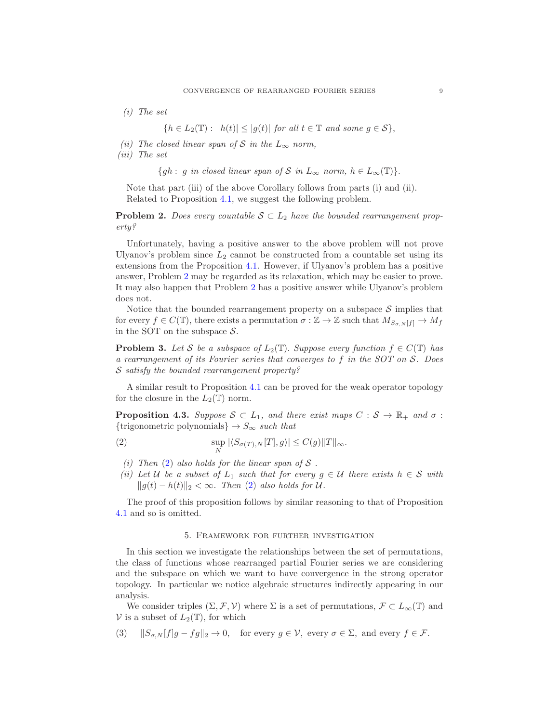(i) The set

 ${h \in L_2(\mathbb{T}): |h(t)| \leq |g(t)| \text{ for all } t \in \mathbb{T} \text{ and some } g \in \mathcal{S}},$ 

- (ii) The closed linear span of S in the  $L_{\infty}$  norm,
- (iii) The set

{gh : g in closed linear span of S in  $L_{\infty}$  norm,  $h \in L_{\infty}(\mathbb{T})\}.$ 

Note that part (iii) of the above Corollary follows from parts (i) and (ii). Related to Proposition [4.1,](#page-7-0) we suggest the following problem.

<span id="page-8-1"></span>**Problem 2.** Does every countable  $S \subset L_2$  have the bounded rearrangement property?

Unfortunately, having a positive answer to the above problem will not prove Ulyanov's problem since  $L_2$  cannot be constructed from a countable set using its extensions from the Proposition [4.1.](#page-7-0) However, if Ulyanov's problem has a positive answer, Problem [2](#page-8-1) may be regarded as its relaxation, which may be easier to prove. It may also happen that Problem [2](#page-8-1) has a positive answer while Ulyanov's problem does not.

Notice that the bounded rearrangement property on a subspace  $S$  implies that for every  $f \in C(\mathbb{T})$ , there exists a permutation  $\sigma : \mathbb{Z} \to \mathbb{Z}$  such that  $M_{S_{\sigma,N}[f]} \to M_f$ in the SOT on the subspace  $S$ .

**Problem 3.** Let S be a subspace of  $L_2(\mathbb{T})$ . Suppose every function  $f \in C(\mathbb{T})$  has a rearrangement of its Fourier series that converges to f in the SOT on S. Does S satisfy the bounded rearrangement property?

A similar result to Proposition [4.1](#page-7-0) can be proved for the weak operator topology for the closure in the  $L_2(\mathbb{T})$  norm.

**Proposition 4.3.** Suppose  $S \subset L_1$ , and there exist maps  $C : S \to \mathbb{R}_+$  and  $\sigma :$ {trigonometric polynomials}  $\rightarrow S_{\infty}$  such that

(2) 
$$
\sup_{N} |\langle S_{\sigma(T),N}[T], g \rangle| \leq C(g) \|T\|_{\infty}.
$$

- <span id="page-8-2"></span>(i) Then  $(2)$  also holds for the linear span of S.
- (ii) Let U be a subset of  $L_1$  such that for every  $g \in U$  there exists  $h \in S$  with  $||g(t) - h(t)||_2 < \infty$ . Then [\(2\)](#page-8-2) also holds for U.

<span id="page-8-0"></span>The proof of this proposition follows by similar reasoning to that of Proposition [4.1](#page-7-0) and so is omitted.

## 5. Framework for further investigation

In this section we investigate the relationships between the set of permutations, the class of functions whose rearranged partial Fourier series we are considering and the subspace on which we want to have convergence in the strong operator topology. In particular we notice algebraic structures indirectly appearing in our analysis.

We consider triples  $(\Sigma, \mathcal{F}, \mathcal{V})$  where  $\Sigma$  is a set of permutations,  $\mathcal{F} \subset L_{\infty}(\mathbb{T})$  and V is a subset of  $L_2(\mathbb{T})$ , for which

<span id="page-8-3"></span>(3)  $||S_{\sigma,N}[f]g - fg||_2 \to 0$ , for every  $g \in V$ , every  $\sigma \in \Sigma$ , and every  $f \in \mathcal{F}$ .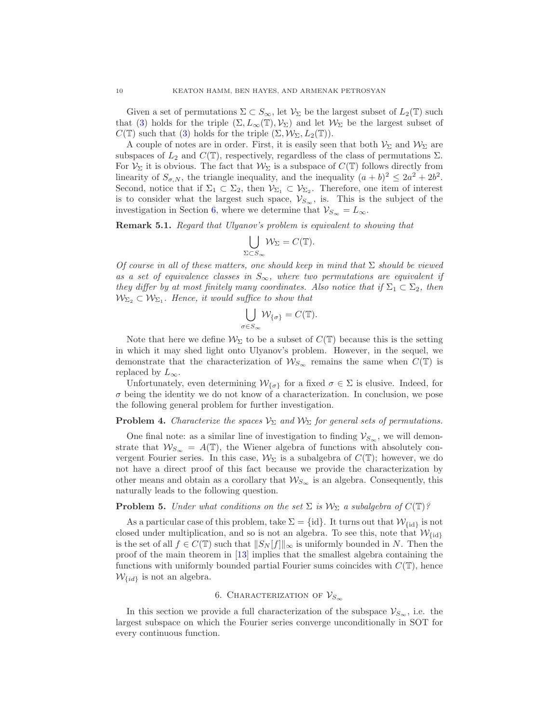Given a set of permutations  $\Sigma \subset S_{\infty}$ , let  $\mathcal{V}_{\Sigma}$  be the largest subset of  $L_2(\mathbb{T})$  such that [\(3\)](#page-8-3) holds for the triple  $(\Sigma, L_\infty(\mathbb{T}), \mathcal{V}_\Sigma)$  and let  $\mathcal{W}_\Sigma$  be the largest subset of  $C(\mathbb{T})$  such that [\(3\)](#page-8-3) holds for the triple  $(\Sigma, \mathcal{W}_{\Sigma}, L_2(\mathbb{T}))$ .

A couple of notes are in order. First, it is easily seen that both  $\mathcal{V}_\Sigma$  and  $\mathcal{W}_\Sigma$  are subspaces of  $L_2$  and  $C(\mathbb{T})$ , respectively, regardless of the class of permutations  $\Sigma$ . For  $\mathcal{V}_{\Sigma}$  it is obvious. The fact that  $\mathcal{W}_{\Sigma}$  is a subspace of  $C(\mathbb{T})$  follows directly from linearity of  $S_{\sigma, N}$ , the triangle inequality, and the inequality  $(a + b)^2 \leq 2a^2 + 2b^2$ . Second, notice that if  $\Sigma_1 \subset \Sigma_2$ , then  $V_{\Sigma_1} \subset V_{\Sigma_2}$ . Therefore, one item of interest is to consider what the largest such space,  $\mathcal{V}_{S_{\infty}}$ , is. This is the subject of the investigation in Section [6,](#page-9-1) where we determine that  $\mathcal{V}_{S_{\infty}} = L_{\infty}$ .

<span id="page-9-0"></span>Remark 5.1. Regard that Ulyanov's problem is equivalent to showing that

$$
\bigcup_{\Sigma\subset S_\infty}\mathcal{W}_\Sigma=C(\mathbb{T}).
$$

Of course in all of these matters, one should keep in mind that  $\Sigma$  should be viewed as a set of equivalence classes in  $S_{\infty}$ , where two permutations are equivalent if they differ by at most finitely many coordinates. Also notice that if  $\Sigma_1 \subset \Sigma_2$ , then  $\mathcal{W}_{\Sigma_2} \subset \mathcal{W}_{\Sigma_1}$ . Hence, it would suffice to show that

$$
\bigcup_{\sigma \in S_{\infty}} \mathcal{W}_{\{\sigma\}} = C(\mathbb{T}).
$$

Note that here we define  $\mathcal{W}_{\Sigma}$  to be a subset of  $C(\mathbb{T})$  because this is the setting in which it may shed light onto Ulyanov's problem. However, in the sequel, we demonstrate that the characterization of  $W_{S_{\infty}}$  remains the same when  $C(\mathbb{T})$  is replaced by  $L_{\infty}$ .

Unfortunately, even determining  $W_{\{\sigma\}}$  for a fixed  $\sigma \in \Sigma$  is elusive. Indeed, for  $\sigma$  being the identity we do not know of a characterization. In conclusion, we pose the following general problem for further investigation.

**Problem 4.** Characterize the spaces  $V_{\Sigma}$  and  $W_{\Sigma}$  for general sets of permutations.

One final note: as a similar line of investigation to finding  $\mathcal{V}_{S_{\infty}}$ , we will demonstrate that  $W_{S_{\infty}} = A(\mathbb{T})$ , the Wiener algebra of functions with absolutely convergent Fourier series. In this case,  $W_{\Sigma}$  is a subalgebra of  $C(\mathbb{T})$ ; however, we do not have a direct proof of this fact because we provide the characterization by other means and obtain as a corollary that  $W_{S_{\infty}}$  is an algebra. Consequently, this naturally leads to the following question.

# **Problem 5.** Under what conditions on the set  $\Sigma$  is  $W_{\Sigma}$  a subalgebra of  $C(\mathbb{T})$ ?

As a particular case of this problem, take  $\Sigma = \{id\}$ . It turns out that  $\mathcal{W}_{\{id\}}$  is not closed under multiplication, and so is not an algebra. To see this, note that  $\mathcal{W}_{\text{fid}}$ is the set of all  $f \in C(\mathbb{T})$  such that  $||S_N[f]||_{\infty}$  is uniformly bounded in N. Then the proof of the main theorem in [\[13\]](#page-24-11) implies that the smallest algebra containing the functions with uniformly bounded partial Fourier sums coincides with  $C(\mathbb{T})$ , hence  $\mathcal{W}_{\{id\}}$  is not an algebra.

# 6. CHARACTERIZATION OF  $\mathcal{V}_{S_{\infty}}$

<span id="page-9-1"></span>In this section we provide a full characterization of the subspace  $\mathcal{V}_{S_{\infty}}$ , i.e. the largest subspace on which the Fourier series converge unconditionally in SOT for every continuous function.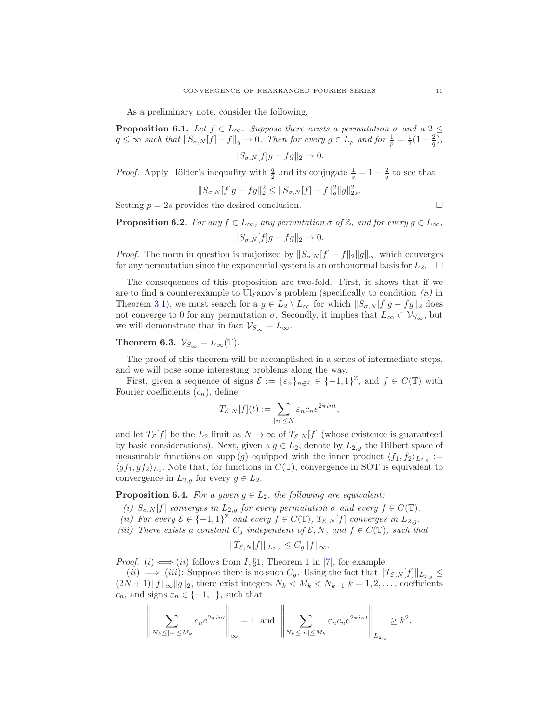As a preliminary note, consider the following.

**Proposition 6.1.** Let  $f \in L_{\infty}$ . Suppose there exists a permutation  $\sigma$  and a 2  $\leq$  $q \leq \infty$  such that  $||S_{\sigma, N}[f] - f||_q \to 0$ . Then for every  $g \in L_p$  and for  $\frac{1}{p} = \frac{1}{2}(1 - \frac{2}{q})$ ,

 $||S_{\sigma,N}[f]g - fg||_2 \rightarrow 0.$ 

*Proof.* Apply Hölder's inequality with  $\frac{q}{2}$  and its conjugate  $\frac{1}{s} = 1 - \frac{2}{q}$  to see that

$$
||S_{\sigma,N}[f]g - fg||_2^2 \le ||S_{\sigma,N}[f] - f||_q^2 ||g||_{2s}^2.
$$

Setting  $p = 2s$  provides the desired conclusion.

**Proposition 6.2.** For any  $f \in L_{\infty}$ , any permutation  $\sigma$  of  $\mathbb{Z}$ , and for every  $g \in L_{\infty}$ ,  $||S_{\sigma N}[f]q - fq||_2 \rightarrow 0.$ 

*Proof.* The norm in question is majorized by  $||S_{\sigma,N}[f] - f||_2||g||_{\infty}$  which converges for any permutation since the exponential system is an orthonormal basis for  $L_2$ .  $\Box$ 

The consequences of this proposition are two-fold. First, it shows that if we are to find a counterexample to Ulyanov's problem (specifically to condition  $(ii)$  in Theorem [3.1\)](#page-5-1), we must search for a  $g \in L_2 \setminus L_\infty$  for which  $||S_{\sigma,N}[f]g - fg||_2$  does not converge to 0 for any permutation  $\sigma$ . Secondly, it implies that  $L_{\infty} \subset \mathcal{V}_{S_{\infty}}$ , but we will demonstrate that in fact  $\mathcal{V}_{S_{\infty}} = L_{\infty}$ .

# <span id="page-10-1"></span>Theorem 6.3.  $\mathcal{V}_{S_{\infty}} = L_{\infty}(\mathbb{T}).$

The proof of this theorem will be accomplished in a series of intermediate steps, and we will pose some interesting problems along the way.

First, given a sequence of signs  $\mathcal{E} := \{\varepsilon_n\}_{n \in \mathbb{Z}} \in \{-1,1\}^{\mathbb{Z}}$ , and  $f \in C(\mathbb{T})$  with Fourier coefficients  $(c_n)$ , define

$$
T_{\mathcal{E},N}[f](t) := \sum_{|n| \leq N} \varepsilon_n c_n e^{2\pi i nt},
$$

and let  $T_{\mathcal{E}}[f]$  be the  $L_2$  limit as  $N \to \infty$  of  $T_{\mathcal{E},N}[f]$  (whose existence is guaranteed by basic considerations). Next, given a  $g \in L_2$ , denote by  $L_{2,g}$  the Hilbert space of measurable functions on supp (g) equipped with the inner product  $\langle f_1, f_2 \rangle_{L_{2,g}} :=$  $\langle gf_1, gf_2 \rangle_{L_2}$ . Note that, for functions in  $C(\mathbb{T})$ , convergence in SOT is equivalent to convergence in  $L_{2,g}$  for every  $g \in L_2$ .

<span id="page-10-0"></span>**Proposition 6.4.** For a given  $g \in L_2$ , the following are equivalent:

- (i)  $S_{\sigma,N}[f]$  converges in  $L_{2,g}$  for every permutation  $\sigma$  and every  $f \in C(\mathbb{T})$ .
- (ii) For every  $\mathcal{E} \in \{-1,1\}^{\mathbb{Z}}$  and every  $f \in C(\mathbb{T})$ ,  $T_{\mathcal{E},N}[f]$  converges in  $L_{2,g}$ .
- (iii) There exists a constant  $C_g$  independent of  $\mathcal{E}, N$ , and  $f \in C(\mathbb{T})$ , such that

$$
||T_{\mathcal{E},N}[f]||_{L_{2,g}} \leq C_g ||f||_{\infty}.
$$

*Proof.* (i)  $\Longleftrightarrow$  (ii) follows from *I*, §1, Theorem 1 in [\[7\]](#page-23-5), for example.

 $(ii) \implies (iii)$ : Suppose there is no such  $C_g$ . Using the fact that  $||T_{\mathcal{E},N}[f]||_{L_{2,g}} \le$  $(2N+1)\|f\|_{\infty}\|g\|_2$ , there exist integers  $N_k < M_k < N_{k+1}$   $k = 1, 2, \ldots$ , coefficients  $c_n$ , and signs  $\varepsilon_n \in \{-1,1\}$ , such that

$$
\left\|\sum_{N_k\leq |n|\leq M_k}c_ne^{2\pi int}\right\|_{\infty}=1 \text{ and }\left\|\sum_{N_k\leq |n|\leq M_k}\varepsilon_nc_ne^{2\pi int}\right\|_{L_{2,g}}\geq k^2.
$$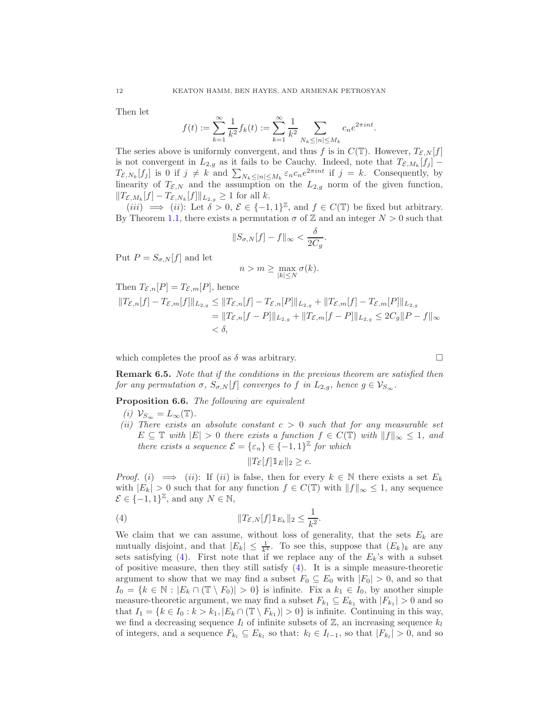Then let

$$
f(t) := \sum_{k=1}^{\infty} \frac{1}{k^2} f_k(t) := \sum_{k=1}^{\infty} \frac{1}{k^2} \sum_{N_k \le |n| \le M_k} c_n e^{2\pi i n t}.
$$

The series above is uniformly convergent, and thus f is in  $C(\mathbb{T})$ . However,  $T_{\mathcal{E},N}[f]$ is not convergent in  $L_{2,g}$  as it fails to be Cauchy. Indeed, note that  $T_{\mathcal{E},M_k}[f_j]$  –  $T_{\mathcal{E}, N_k}[f_j]$  is 0 if  $j \neq k$  and  $\sum_{N_k \leq |n| \leq M_k} \varepsilon_n c_n e^{2\pi int}$  if  $j = k$ . Consequently, by linearity of  $T_{\mathcal{E},N}$  and the assumption on the  $L_{2,g}$  norm of the given function,  $||T_{\mathcal{E},M_k}[f] - T_{\mathcal{E},N_k}[f]||_{L_{2,g}} \ge 1$  for all k.

 $(iii) \implies (ii)$ : Let  $\delta > 0$ ,  $\mathcal{E} \in \{-1,1\}^{\mathbb{Z}}$ , and  $f \in C(\mathbb{T})$  be fixed but arbitrary. By Theorem [1.1,](#page-1-1) there exists a permutation  $\sigma$  of  $\mathbb Z$  and an integer  $N > 0$  such that

$$
||S_{\sigma,N}[f]-f||_{\infty}<\frac{\delta}{2C_g}
$$

.

Put  $P = S_{\sigma, N}[f]$  and let

$$
n > m \geq \max_{|k| \leq N} \sigma(k).
$$

Then 
$$
T_{\mathcal{E},n}[P] = T_{\mathcal{E},m}[P]
$$
, hence  
\n
$$
||T_{\mathcal{E},n}[f] - T_{\mathcal{E},m}[f]||_{L_{2,g}} \leq ||T_{\mathcal{E},n}[f] - T_{\mathcal{E},n}[P]||_{L_{2,g}} + ||T_{\mathcal{E},m}[f] - T_{\mathcal{E},m}[P]||_{L_{2,g}}\n= ||T_{\mathcal{E},n}[f - P]||_{L_{2,g}} + ||T_{\mathcal{E},m}[f - P]||_{L_{2,g}} \leq 2C_g ||P - f||_{\infty}\n $\delta,$
$$

which completes the proof as  $\delta$  was arbitrary.

<span id="page-11-1"></span>Remark 6.5. Note that if the conditions in the previous theorem are satisfied then for any permutation  $\sigma$ ,  $S_{\sigma,N}[f]$  converges to f in  $L_{2,g}$ , hence  $g \in V_{S_{\infty}}$ .

<span id="page-11-2"></span>Proposition 6.6. The following are equivalent

- (i)  $\mathcal{V}_{S_{\infty}} = L_{\infty}(\mathbb{T}).$
- (ii) There exists an absolute constant  $c > 0$  such that for any measurable set  $E \subseteq \mathbb{T}$  with  $|E| > 0$  there exists a function  $f \in C(\mathbb{T})$  with  $||f||_{\infty} \leq 1$ , and there exists a sequence  $\mathcal{E} = \{\varepsilon_n\} \in \{-1,1\}^{\mathbb{Z}}$  for which

<span id="page-11-0"></span>
$$
||T_{\mathcal{E}}[f]1||_{E}||_{2} \geq c.
$$

*Proof.* (i)  $\implies$  (ii): If (ii) is false, then for every  $k \in \mathbb{N}$  there exists a set  $E_k$ with  $|E_k| > 0$  such that for any function  $f \in C(\mathbb{T})$  with  $||f||_{\infty} \leq 1$ , any sequence  $\mathcal{E} \in \{-1, 1\}^{\mathbb{Z}},$  and any  $N \in \mathbb{N}$ ,

(4) 
$$
||T_{\mathcal{E},N}[f]1||_{E_k}||_2 \leq \frac{1}{k^2}.
$$

We claim that we can assume, without loss of generality, that the sets  $E_k$  are mutually disjoint, and that  $|E_k| \leq \frac{1}{k^4}$ . To see this, suppose that  $(E_k)_k$  are any sets satisfying [\(4\)](#page-11-0). First note that if we replace any of the  $E_k$ 's with a subset of positive measure, then they still satisfy [\(4\)](#page-11-0). It is a simple measure-theoretic argument to show that we may find a subset  $F_0 \subseteq E_0$  with  $|F_0| > 0$ , and so that  $I_0 = \{k \in \mathbb{N} : |E_k \cap (\mathbb{T} \setminus F_0)| > 0\}$  is infinite. Fix a  $k_1 \in I_0$ , by another simple measure-theoretic argument, we may find a subset  $F_{k_1} \subseteq E_{k_1}$  with  $|F_{k_1}| > 0$  and so that  $I_1 = \{k \in I_0 : k > k_1, |E_k \cap (\mathbb{T} \setminus F_{k_1})| > 0\}$  is infinite. Continuing in this way, we find a decreasing sequence  $I_l$  of infinite subsets of  $\mathbb{Z}$ , an increasing sequence  $k_l$ of integers, and a sequence  $F_{k_l} \subseteq E_{k_l}$  so that:  $k_l \in I_{l-1}$ , so that  $|F_{k_l}| > 0$ , and so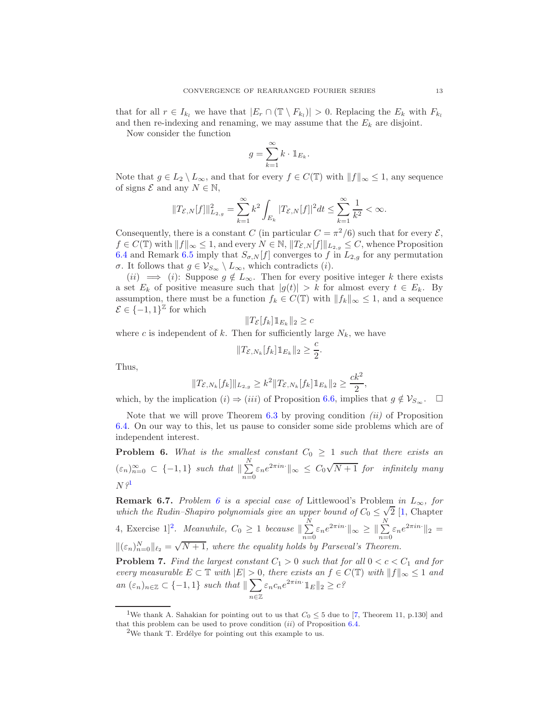that for all  $r \in I_{k_l}$  we have that  $|E_r \cap (\mathbb{T} \setminus F_{k_l})| > 0$ . Replacing the  $E_k$  with  $F_{k_l}$ and then re-indexing and renaming, we may assume that the  $E_k$  are disjoint.

Now consider the function

$$
g = \sum_{k=1}^{\infty} k \cdot \mathbb{1}_{E_k}.
$$

Note that  $g \in L_2 \setminus L_\infty$ , and that for every  $f \in C(\mathbb{T})$  with  $||f||_{\infty} \leq 1$ , any sequence of signs  $\mathcal{E}$  and any  $N \in \mathbb{N}$ ,

$$
||T_{\mathcal{E},N}[f]||_{L_{2,g}}^2 = \sum_{k=1}^{\infty} k^2 \int_{E_k} |T_{\mathcal{E},N}[f]|^2 dt \le \sum_{k=1}^{\infty} \frac{1}{k^2} < \infty.
$$

Consequently, there is a constant C (in particular  $C = \pi^2/6$ ) such that for every  $\mathcal{E}$ ,  $f \in C(\mathbb{T})$  with  $||f||_{\infty} \leq 1$ , and every  $N \in \mathbb{N}$ ,  $||T_{\mathcal{E},N}[f]||_{L_{2,g}} \leq C$ , whence Proposition [6.4](#page-10-0) and Remark [6.5](#page-11-1) imply that  $S_{\sigma,N}[f]$  converges to f in  $L_{2,g}$  for any permutation σ. It follows that  $g \in V_{S_{\infty}} \setminus L_{\infty}$ , which contradicts (*i*).

 $(ii) \implies (i)$ : Suppose  $g \notin L_{\infty}$ . Then for every positive integer k there exists a set  $E_k$  of positive measure such that  $|g(t)| > k$  for almost every  $t \in E_k$ . By assumption, there must be a function  $f_k \in C(\mathbb{T})$  with  $||f_k||_{\infty} \leq 1$ , and a sequence  $\mathcal{E} \in \{-1, 1\}^{\mathbb{Z}}$  for which

$$
||T_{\mathcal{E}}[f_k]1\!\!1_{E_k}||_2 \geq c
$$

where c is independent of k. Then for sufficiently large  $N_k$ , we have

$$
||T_{\mathcal{E},N_k}[f_k]1\!\!1_{E_k}||_2 \geq \frac{c}{2}
$$

.

Thus,

$$
||T_{\mathcal{E},N_k}[f_k]||_{L_{2,g}} \ge k^2 ||T_{\mathcal{E},N_k}[f_k] \mathbb{1}_{E_k}||_2 \ge \frac{ck^2}{2},
$$

which, by the implication  $(i) \Rightarrow (iii)$  of Proposition [6.6,](#page-11-2) implies that  $g \notin \mathcal{V}_{S_{\infty}}$ .  $\Box$ 

Note that we will prove Theorem  $6.3$  by proving condition  $(ii)$  of Proposition [6.4.](#page-10-0) On our way to this, let us pause to consider some side problems which are of independent interest.

<span id="page-12-1"></span>**Problem 6.** What is the smallest constant  $C_0 \geq 1$  such that there exists an  $(\varepsilon_n)_{n=0}^{\infty} \subset \{-1,1\}$  such that  $\|\sum_{n=0}^{N}$  $\sum_{n=0}^{N} \varepsilon_n e^{2\pi i n} \parallel_{\infty} \ \leq C_0 \sqrt{N+1}$  for infinitely many  $N \, \mathbf{^{\textit{2}}}$ 

<span id="page-12-4"></span>**Remark [6](#page-12-1).7.** Problem 6 is a special case of Littlewood's Problem in  $L_{\infty}$ , for which the Rudin–Shapiro polynomials give an upper bound of  $C_0 \leq \sqrt{2}$  [\[1,](#page-23-6) Chapter 4, Exercise 1]<sup>[2](#page-12-2)</sup>. Meanwhile,  $C_0 \geq 1$  because  $\parallel \sum_{n=1}^{N}$  $\sum_{n=0}^{N} \varepsilon_n e^{2\pi i n} \parallel_{\infty} \geq \parallel \sum_{n=0}^{N}$  $\sum_{n=0} \varepsilon_n e^{2\pi i n}$   $\Vert_2$  =  $\|(\varepsilon_n)_{n=0}^N\|_{\ell_2} = \sqrt{N+1}$ , where the equality holds by Parseval's Theorem. **Problem 7.** Find the largest constant  $C_1 > 0$  such that for all  $0 < c < C_1$  and for

<span id="page-12-3"></span>every measurable  $E \subset \mathbb{T}$  with  $|E| > 0$ , there exists an  $f \in C(\mathbb{T})$  with  $||f||_{\infty} \leq 1$  and an  $(\varepsilon_n)_{n \in \mathbb{Z}} \subset \{-1,1\}$  such that  $\|\sum$ <sup>n</sup>∈<sup>Z</sup>  $\varepsilon_n c_n e^{2\pi i n}$   $\mathbb{1}_E \|_2 \geq c$ ?

<sup>&</sup>lt;sup>1</sup>We thank A. Sahakian for pointing out to us that  $C_0 \leq 5$  due to [\[7,](#page-23-5) Theorem 11, p.130] and that this problem can be used to prove condition  $(ii)$  of Proposition [6.4.](#page-10-0)

<span id="page-12-2"></span><span id="page-12-0"></span><sup>&</sup>lt;sup>2</sup>We thank T. Erdélye for pointing out this example to us.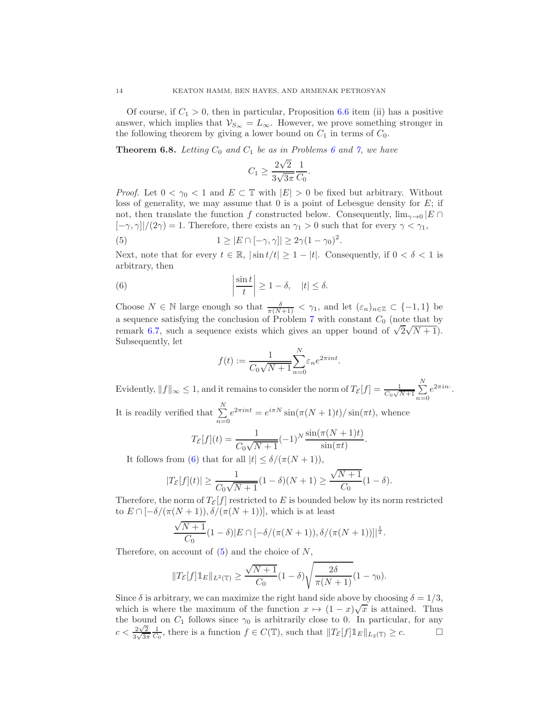Of course, if  $C_1 > 0$ , then in particular, Proposition [6.6](#page-11-2) item (ii) has a positive answer, which implies that  $\mathcal{V}_{S_{\infty}} = L_{\infty}$ . However, we prove something stronger in the following theorem by giving a lower bound on  $C_1$  in terms of  $C_0$ .

<span id="page-13-2"></span>**Theorem [6](#page-12-1).8.** Letting  $C_0$  and  $C_1$  be as in Problems 6 and [7,](#page-12-3) we have

<span id="page-13-1"></span>
$$
C_1 \ge \frac{2\sqrt{2}}{3\sqrt{3\pi}} \frac{1}{C_0}.
$$

*Proof.* Let  $0 < \gamma_0 < 1$  and  $E \subset \mathbb{T}$  with  $|E| > 0$  be fixed but arbitrary. Without loss of generality, we may assume that  $0$  is a point of Lebesgue density for  $E$ ; if not, then translate the function f constructed below. Consequently,  $\lim_{\gamma\to 0} |E \cap$  $[-\gamma, \gamma]/(2\gamma) = 1$ . Therefore, there exists an  $\gamma_1 > 0$  such that for every  $\gamma < \gamma_1$ ,

(5) 
$$
1 \ge |E \cap [-\gamma, \gamma]| \ge 2\gamma(1-\gamma_0)^2.
$$

Next, note that for every  $t \in \mathbb{R}$ ,  $|\sin t/t| \geq 1 - |t|$ . Consequently, if  $0 < \delta < 1$  is arbitrary, then

(6) 
$$
\left|\frac{\sin t}{t}\right| \ge 1-\delta, \quad |t| \le \delta.
$$

Choose  $N \in \mathbb{N}$  large enough so that  $\frac{\delta}{\pi(N+1)} < \gamma_1$ , and let  $(\varepsilon_n)_{n \in \mathbb{Z}} \subset \{-1,1\}$  be a sequence satisfying the conclusion of Problem [7](#page-12-3) with constant  $C_0$  (note that by remark [6.7,](#page-12-4) such a sequence exists which gives an upper bound of  $\sqrt{2}\sqrt{N+1}$ . Subsequently, let

<span id="page-13-0"></span>
$$
f(t) := \frac{1}{C_0\sqrt{N+1}}\sum_{n=0}^{N} \varepsilon_n e^{2\pi int}
$$

Evidently,  $||f||_{\infty} \leq 1$ , and it remains to consider the norm of  $T_{\mathcal{E}}[f] = \frac{1}{C_0\sqrt{N+1}} \sum_{n=0}^{N}$  $\sum_{n=0}e^{2\pi in}$ .

.

It is readily verified that  $\sum_{n=1}^{N}$  $\sum_{n=0} e^{2\pi int} = e^{i\pi N} \sin(\pi (N+1)t) / \sin(\pi t)$ , whence

$$
T_{\mathcal{E}}[f](t) = \frac{1}{C_0\sqrt{N+1}}(-1)^N \frac{\sin(\pi(N+1)t)}{\sin(\pi t)}.
$$

It follows from [\(6\)](#page-13-0) that for all  $|t| \leq \delta/(\pi(N+1)),$ 

$$
|T_{\mathcal{E}}[f](t)| \ge \frac{1}{C_0\sqrt{N+1}}(1-\delta)(N+1) \ge \frac{\sqrt{N+1}}{C_0}(1-\delta).
$$

Therefore, the norm of  $T_{\mathcal{E}}[f]$  restricted to E is bounded below by its norm restricted to  $E \cap [-\delta/(\pi(N+1)), \delta/(\pi(N+1))],$  which is at least

$$
\frac{\sqrt{N+1}}{C_0}(1-\delta)|E\cap[-\delta/(\pi(N+1)),\delta/(\pi(N+1))]|^{\frac{1}{2}}.
$$

Therefore, on account of  $(5)$  and the choice of N,

$$
||T_{\mathcal{E}}[f]1\!\!1_{E}||_{L^{2}(\mathbb{T})}\geq \frac{\sqrt{N+1}}{C_{0}}(1-\delta)\sqrt{\frac{2\delta}{\pi(N+1)}}(1-\gamma_{0}).
$$

Since  $\delta$  is arbitrary, we can maximize the right hand side above by choosing  $\delta = 1/3$ , which is where the maximum of the function  $x \mapsto (1-x)\sqrt{x}$  is attained. Thus the bound on  $C_1$  follows since  $\gamma_0$  is arbitrarily close to 0. In particular, for any  $c < \frac{2\sqrt{2}}{2\sqrt{2}}$  $\frac{1}{3\sqrt{3\pi}}$  $\frac{1}{C_0}$ , there is a function  $f \in C(\mathbb{T})$ , such that  $||T_{\mathcal{E}}[f]1||_{E||_{L_2(\mathbb{T})}} \geq c.$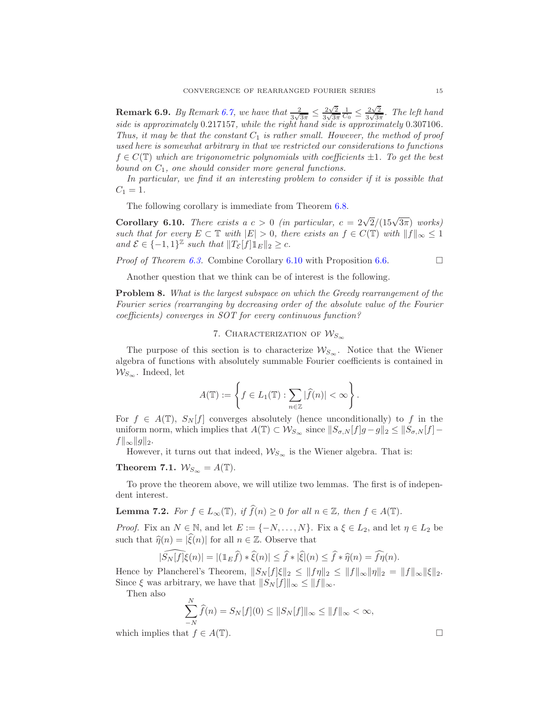**Remark 6.9.** By Remark [6.7,](#page-12-4) we have that  $\frac{2}{3\sqrt{3\pi}} \leq \frac{2\sqrt{2}}{3\sqrt{3\pi}}$  $\frac{1}{3\sqrt{3\pi}}$  $\frac{1}{C_0} \leq \frac{2\sqrt{2}}{3\sqrt{3\pi}}$  $\frac{2\sqrt{2}}{3\sqrt{3\pi}}$ . The left hand side is approximately 0.217157, while the right hand side is approximately 0.307106. Thus, it may be that the constant  $C_1$  is rather small. However, the method of proof used here is somewhat arbitrary in that we restricted our considerations to functions  $f \in C(\mathbb{T})$  which are trigonometric polynomials with coefficients  $\pm 1$ . To get the best bound on  $C_1$ , one should consider more general functions.

In particular, we find it an interesting problem to consider if it is possible that  $C_1 = 1.$ 

The following corollary is immediate from Theorem [6.8.](#page-13-2)

<span id="page-14-1"></span>Corollary 6.10. There exists a  $c > 0$  (in particular,  $c = 2\sqrt{2}/(15\sqrt{3\pi})$  works) such that for every  $E \subset \mathbb{T}$  with  $|E| > 0$ , there exists an  $f \in C(\mathbb{T})$  with  $||f||_{\infty} \leq 1$ and  $\mathcal{E} \in \{-1,1\}^{\mathbb{Z}}$  such that  $||T_{\mathcal{E}}[f]1||_{E}||_2 \geq c$ .

Proof of Theorem [6.3.](#page-10-1) Combine Corollary [6.10](#page-14-1) with Proposition [6.6.](#page-11-2)

$$
\Box
$$

Another question that we think can be of interest is the following.

Problem 8. What is the largest subspace on which the Greedy rearrangement of the Fourier series (rearranging by decreasing order of the absolute value of the Fourier coefficients) converges in SOT for every continuous function?

# 7. CHARACTERIZATION OF  $W_{S_{\infty}}$

<span id="page-14-0"></span>The purpose of this section is to characterize  $W_{S_{\infty}}$ . Notice that the Wiener algebra of functions with absolutely summable Fourier coefficients is contained in  $W_{S_{\infty}}$ . Indeed, let

$$
A(\mathbb{T}) := \left\{ f \in L_1(\mathbb{T}) : \sum_{n \in \mathbb{Z}} |\widehat{f}(n)| < \infty \right\}.
$$

For  $f \in A(\mathbb{T})$ ,  $S_N[f]$  converges absolutely (hence unconditionally) to f in the uniform norm, which implies that  $A(\mathbb{T}) \subset \mathcal{W}_{S_{\infty}}$  since  $||S_{\sigma,N}[f]g - g||_2 \leq ||S_{\sigma,N}[f] ||f||_{\infty}||g||_2.$ 

However, it turns out that indeed,  $\mathcal{W}_{S_\infty}$  is the Wiener algebra. That is:

# <span id="page-14-2"></span>Theorem 7.1.  $W_{S_{\infty}} = A(\mathbb{T}).$

To prove the theorem above, we will utilize two lemmas. The first is of independent interest.

<span id="page-14-3"></span>**Lemma 7.2.** For  $f \in L_{\infty}(\mathbb{T})$ , if  $\widehat{f}(n) \geq 0$  for all  $n \in \mathbb{Z}$ , then  $f \in A(\mathbb{T})$ .

*Proof.* Fix an  $N \in \mathbb{N}$ , and let  $E := \{-N, \ldots, N\}$ . Fix a  $\xi \in L_2$ , and let  $\eta \in L_2$  be such that  $\hat{\eta}(n) = |\hat{\xi}(n)|$  for all  $n \in \mathbb{Z}$ . Observe that

$$
|\widehat{S_N[f]}\xi(n)| = |(\mathbb{1}_E\widehat{f}) * \widehat{\xi}(n)| \leq \widehat{f} * |\widehat{\xi}|(n) \leq \widehat{f} * \widehat{\eta}(n) = \widehat{f}\eta(n).
$$

Hence by Plancherel's Theorem,  $||S_N[f]\xi||_2 \leq ||f\eta||_2 \leq ||f||_{\infty} ||\eta||_2 = ||f||_{\infty} ||\xi||_2$ . Since  $\xi$  was arbitrary, we have that  $||S_N [f]||_{\infty} \leq ||f||_{\infty}$ .

Then also

$$
\sum_{-N}^{N} \widehat{f}(n) = S_N[f](0) \le ||S_N[f]||_{\infty} \le ||f||_{\infty} < \infty,
$$

which implies that  $f \in A(\mathbb{T})$ .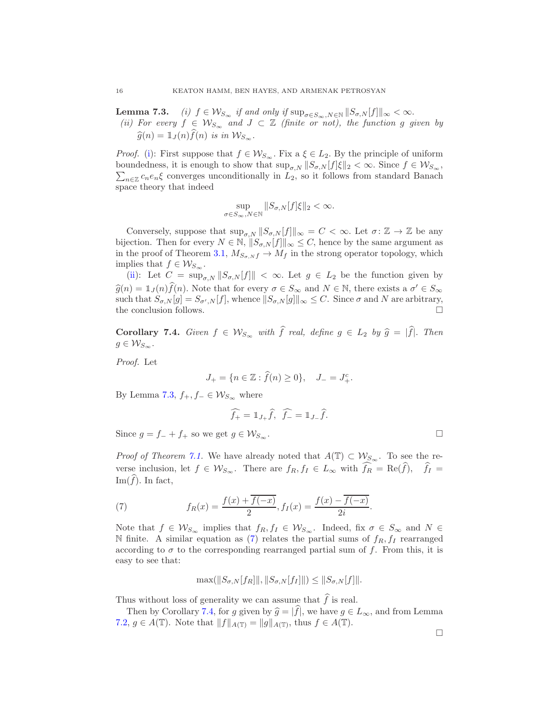<span id="page-15-1"></span><span id="page-15-0"></span>**Lemma 7.3.** (i)  $f \in \mathcal{W}_{S_{\infty}}$  if and only if  $\sup_{\sigma \in S_{\infty}, N \in \mathbb{N}} ||S_{\sigma,N}[f]||_{\infty} < \infty$ . (ii) For every  $f \in W_{S_{\infty}}$  and  $J \subset \mathbb{Z}$  (finite or not), the function g given by  $\widehat{g}(n) = \mathbb{1}_J (n) \widehat{f}(n)$  is in  $\mathcal{W}_{S_{\infty}}$ .

*Proof.* [\(i\)](#page-15-0): First suppose that  $f \in \mathcal{W}_{S_{\infty}}$ . Fix a  $\xi \in L_2$ . By the principle of uniform boundedness, it is enough to show that  $\sup_{\sigma,N} ||S_{\sigma,N}[f]\xi||_2 < \infty$ . Since  $f \in \mathcal{W}_{S_{\infty}},$  $\sum_{n\in\mathbb{Z}}c_ne_n\xi$  converges unconditionally in  $L_2$ , so it follows from standard Banach space theory that indeed

$$
\sup_{\sigma \in S_{\infty}, N \in \mathbb{N}} \|S_{\sigma, N}[f]\xi\|_{2} < \infty.
$$

Conversely, suppose that  $\sup_{\sigma N} ||S_{\sigma N}[f]||_{\infty} = C < \infty$ . Let  $\sigma: \mathbb{Z} \to \mathbb{Z}$  be any bijection. Then for every  $N \in \mathbb{N}$ ,  $||S_{\sigma,N}[f]||_{\infty} \leq C$ , hence by the same argument as in the proof of Theorem [3.1,](#page-5-1)  $M_{S_{\sigma,N}f} \to M_f$  in the strong operator topology, which implies that  $f \in \mathcal{W}_{S_{\infty}}$ .

[\(ii\)](#page-15-1): Let  $C = \sup_{\sigma, N} ||S_{\sigma, N}[f]|| < \infty$ . Let  $g \in L_2$  be the function given by  $\widehat{g}(n) = \mathbb{1}_J(n)\widehat{f}(n)$ . Note that for every  $\sigma \in S_\infty$  and  $N \in \mathbb{N}$ , there exists a  $\sigma' \in S_\infty$ such that  $S_{\sigma,N}[g] = S_{\sigma',N}[f]$ , whence  $||S_{\sigma,N}[g]||_{\infty} \leq C$ . Since  $\sigma$  and N are arbitrary, the conclusion follows.  $\hfill \square$ 

<span id="page-15-3"></span>Corollary 7.4. Given  $f \in \mathcal{W}_{S_{\infty}}$  with  $\hat{f}$  real, define  $g \in L_2$  by  $\hat{g} = |\hat{f}|$ . Then  $g \in \mathcal{W}_{S_{\infty}}$ .

Proof. Let

$$
J_{+} = \{ n \in \mathbb{Z} : \hat{f}(n) \ge 0 \}, \quad J_{-} = J_{+}^{c}.
$$

By Lemma 7.3,  $f_+, f_- \in \mathcal{W}_{S_{\infty}}$  where

$$
\widehat{f_+} = \mathbb{1}_{J_+} \widehat{f}, \ \widehat{f_-} = \mathbb{1}_{J_-} \widehat{f}.
$$

Since  $g = f_- + f_+$  so we get  $g \in \mathcal{W}_{S_{\infty}}$ .

*Proof of Theorem [7.1.](#page-14-2)* We have already noted that  $A(\mathbb{T}) \subset \mathcal{W}_{S_{\infty}}$ . To see the reverse inclusion, let  $f \in \mathcal{W}_{S_{\infty}}$ . There are  $f_R, f_I \in L_{\infty}$  with  $\widehat{f_R} = \text{Re}(\widehat{f}), \quad \widehat{f_I} =$ Im( $\widehat{f}$ ). In fact,

<span id="page-15-2"></span>(7) 
$$
f_R(x) = \frac{f(x) + \overline{f(-x)}}{2}, f_I(x) = \frac{f(x) - \overline{f(-x)}}{2i}.
$$

Note that  $f \in \mathcal{W}_{S_{\infty}}$  implies that  $f_R, f_I \in \mathcal{W}_{S_{\infty}}$ . Indeed, fix  $\sigma \in S_{\infty}$  and  $N \in$ N finite. A similar equation as [\(7\)](#page-15-2) relates the partial sums of  $f_R$ ,  $f_I$  rearranged according to  $\sigma$  to the corresponding rearranged partial sum of f. From this, it is easy to see that:

$$
\max(||S_{\sigma,N}[f_R]||, ||S_{\sigma,N}[f_I]||) \leq ||S_{\sigma,N}[f]||.
$$

Thus without loss of generality we can assume that  $\widehat{f}$  is real.

Then by Corollary [7.4,](#page-15-3) for g given by  $\hat{g} = |\hat{f}|$ , we have  $g \in L_{\infty}$ , and from Lemma [7.2,](#page-14-3)  $g \in A(\mathbb{T})$ . Note that  $||f||_{A(\mathbb{T})} = ||g||_{A(\mathbb{T})}$ , thus  $f \in A(\mathbb{T})$ .

 $\Box$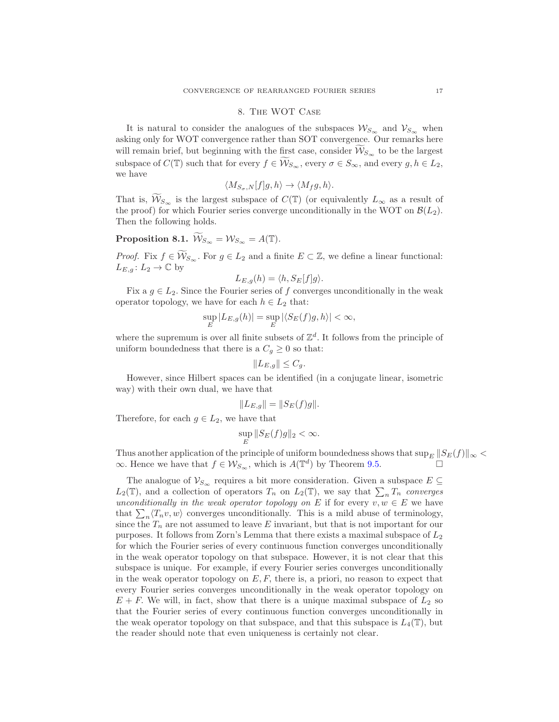#### 8. The WOT Case

<span id="page-16-0"></span>It is natural to consider the analogues of the subspaces  $\mathcal{W}_{S_{\infty}}$  and  $\mathcal{V}_{S_{\infty}}$  when asking only for WOT convergence rather than SOT convergence. Our remarks here will remain brief, but beginning with the first case, consider  $\mathcal{W}_{S_{\infty}}$  to be the largest subspace of  $C(\mathbb{T})$  such that for every  $f \in \mathcal{W}_{S_{\infty}}$ , every  $\sigma \in S_{\infty}$ , and every  $g, h \in L_2$ , we have

$$
\langle M_{S_{\sigma},N}[f]g,h\rangle \to \langle M_f g,h\rangle.
$$

That is,  $W_{S_{\infty}}$  is the largest subspace of  $C(\mathbb{T})$  (or equivalently  $L_{\infty}$  as a result of the proof) for which Fourier series converge unconditionally in the WOT on  $\mathcal{B}(L_2)$ . Then the following holds.

**Proposition 8.1.** 
$$
\widetilde{\mathcal{W}}_{S_{\infty}} = \mathcal{W}_{S_{\infty}} = A(\mathbb{T}).
$$

*Proof.* Fix  $f \in \widetilde{\mathcal{W}}_{S_{\infty}}$ . For  $g \in L_2$  and a finite  $E \subset \mathbb{Z}$ , we define a linear functional:  $L_{E,q} \colon L_2 \to \mathbb{C}$  by

$$
L_{E,g}(h) = \langle h, S_E[f]g \rangle.
$$

Fix a  $g \in L_2$ . Since the Fourier series of f converges unconditionally in the weak operator topology, we have for each  $h \in L_2$  that:

$$
\sup_{E} |L_{E,g}(h)| = \sup_{E} |\langle S_E(f)g, h \rangle| < \infty,
$$

where the supremum is over all finite subsets of  $\mathbb{Z}^d$ . It follows from the principle of uniform boundedness that there is a  $C_g \geq 0$  so that:

$$
||L_{E,g}|| \leq C_g.
$$

However, since Hilbert spaces can be identified (in a conjugate linear, isometric way) with their own dual, we have that

$$
||L_{E,g}|| = ||S_E(f)g||.
$$

Therefore, for each  $g \in L_2$ , we have that

$$
\sup_E \|S_E(f)g\|_2 < \infty.
$$

Thus another application of the principle of uniform boundedness shows that  $\sup_E ||S_E(f)||_{\infty}$  $\infty$ . Hence we have that  $f \in \mathcal{W}_{S_{\infty}}$ , which is  $A(\mathbb{T}^d)$  by Theorem [9.5.](#page-22-0)

The analogue of  $\mathcal{V}_{S_{\infty}}$  requires a bit more consideration. Given a subspace  $E \subseteq$  $L_2(\mathbb{T})$ , and a collection of operators  $T_n$  on  $L_2(\mathbb{T})$ , we say that  $\sum_n T_n$  converges unconditionally in the weak operator topology on E if for every  $v, w \in E$  we have that  $\sum_{n} \langle T_n v, w \rangle$  converges unconditionally. This is a mild abuse of terminology, since the  $T_n$  are not assumed to leave E invariant, but that is not important for our purposes. It follows from Zorn's Lemma that there exists a maximal subspace of  $L_2$ for which the Fourier series of every continuous function converges unconditionally in the weak operator topology on that subspace. However, it is not clear that this subspace is unique. For example, if every Fourier series converges unconditionally in the weak operator topology on  $E, F$ , there is, a priori, no reason to expect that every Fourier series converges unconditionally in the weak operator topology on  $E + F$ . We will, in fact, show that there is a unique maximal subspace of  $L_2$  so that the Fourier series of every continuous function converges unconditionally in the weak operator topology on that subspace, and that this subspace is  $L_4(\mathbb{T})$ , but the reader should note that even uniqueness is certainly not clear.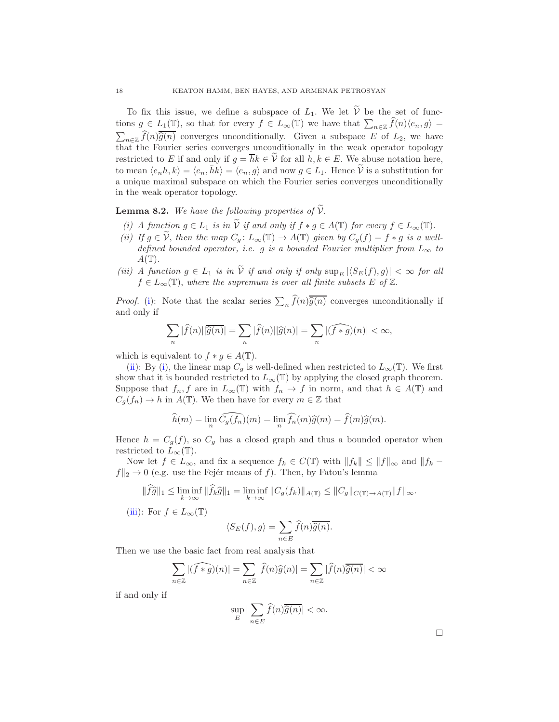To fix this issue, we define a subspace of  $L_1$ . We let  $\widetilde{V}$  be the set of functions  $g \in L_1(\mathbb{T})$ , so that for every  $f \in L_\infty(\mathbb{T})$  we have that  $\sum_{n \in \mathbb{Z}} \widehat{f}(n) \langle e_n, g \rangle =$ <br> $\sum_{n \in \mathbb{Z}} \widehat{f}(n) \overline{\widehat{g}(n)}$  converges unconditionally. Given a subspace E of  $L_2$ , we have  $\lim_{n\in\mathbb{Z}} f(n)\hat{g}(n)$  converges unconditionally. Given a subspace E of  $L_2$ , we have that the Fourier series converges unconditionally in the weak operator topology restricted to E if and only if  $g = \overline{h}k \in V$  for all  $h, k \in E$ . We abuse notation here, to mean  $\langle e_n, k \rangle = \langle e_n, \bar{h}k \rangle = \langle e_n, g \rangle$  and now  $g \in L_1$ . Hence  $\widetilde{\mathcal{V}}$  is a substitution for a unique maximal subspace on which the Fourier series converges unconditionally in the weak operator topology.

<span id="page-17-3"></span><span id="page-17-0"></span>**Lemma 8.2.** We have the following properties of  $\widetilde{V}$ .

- <span id="page-17-1"></span>(i) A function  $g \in L_1$  is in  $\widetilde{V}$  if and only if  $f * g \in A(\mathbb{T})$  for every  $f \in L_\infty(\mathbb{T})$ .
- (ii) If  $g \in \tilde{\mathcal{V}}$ , then the map  $C_g: L_\infty(\mathbb{T}) \to A(\mathbb{T})$  given by  $C_g(f) = f * g$  is a welldefined bounded operator, i.e. g is a bounded Fourier multiplier from  $L_{\infty}$  to  $A(\mathbb{T}).$
- <span id="page-17-2"></span>(iii) A function  $g \in L_1$  is in  $\widetilde{V}$  if and only if only  $\sup_{E} |\langle S_E(f), g \rangle| < \infty$  for all  $f \in L_{\infty}(\mathbb{T})$ , where the supremum is over all finite subsets E of  $\mathbb{Z}$ .

*Proof.* [\(i\)](#page-17-0): Note that the scalar series  $\sum_n \hat{f}(n)\overline{\hat{g}(n)}$  converges unconditionally if and only if

$$
\sum_{n} |\widehat{f}(n)||\overline{\widehat{g}(n)}| = \sum_{n} |\widehat{f}(n)||\widehat{g}(n)| = \sum_{n} |(\widehat{f*g})(n)| < \infty,
$$

which is equivalent to  $f * g \in A(\mathbb{T})$ .

[\(ii\)](#page-17-1): By [\(i\)](#page-17-0), the linear map  $C_g$  is well-defined when restricted to  $L_{\infty}(\mathbb{T})$ . We first show that it is bounded restricted to  $L_{\infty}(\mathbb{T})$  by applying the closed graph theorem. Suppose that  $f_n, f$  are in  $L_\infty(\mathbb{T})$  with  $f_n \to f$  in norm, and that  $h \in A(\mathbb{T})$  and  $C_g(f_n) \to h$  in  $A(\mathbb{T})$ . We then have for every  $m \in \mathbb{Z}$  that

$$
\widehat{h}(m) = \lim_{n} \widehat{C_g(f_n)}(m) = \lim_{n} \widehat{f_n}(m)\widehat{g}(m) = \widehat{f}(m)\widehat{g}(m).
$$

Hence  $h = C_g(f)$ , so  $C_g$  has a closed graph and thus a bounded operator when restricted to  $L_{\infty}(\mathbb{T})$ .

Now let  $f \in L_{\infty}$ , and fix a sequence  $f_k \in C(\mathbb{T})$  with  $||f_k|| \leq ||f||_{\infty}$  and  $||f_k$  $f\|_2 \rightarrow 0$  (e.g. use the Fejér means of f). Then, by Fatou's lemma

$$
\|\widehat{fg}\|_1 \leq \liminf_{k \to \infty} \|\widehat{f}_k \widehat{g}\|_1 = \liminf_{k \to \infty} \|C_g(f_k)\|_{A(\mathbb{T})} \leq \|C_g\|_{C(\mathbb{T}) \to A(\mathbb{T})} \|f\|_{\infty}.
$$

[\(iii\)](#page-17-2): For  $f \in L_{\infty}(\mathbb{T})$ 

$$
\langle S_E(f), g \rangle = \sum_{n \in E} \widehat{f}(n) \overline{\widehat{g}(n)}.
$$

Then we use the basic fact from real analysis that

$$
\sum_{n\in\mathbb{Z}}|(\widehat{f*g})(n)|=\sum_{n\in\mathbb{Z}}|\widehat{f}(n)\widehat{g}(n)|=\sum_{n\in\mathbb{Z}}|\widehat{f}(n)\overline{\widehat{g}(n)}|<\infty
$$

if and only if

$$
\sup_E |\sum_{n\in E} \widehat{f}(n)\overline{\widehat{g}(n)}| < \infty.
$$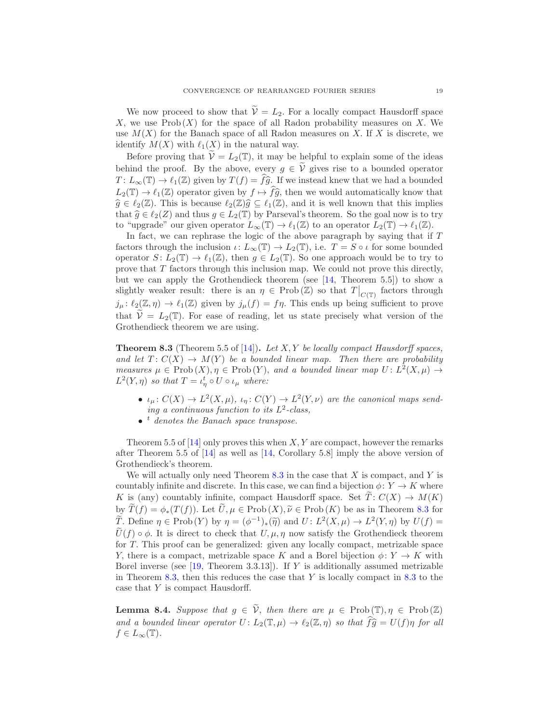We now proceed to show that  $\widetilde{\mathcal{V}}=L_2$ . For a locally compact Hausdorff space X, we use  $\text{Prob}(X)$  for the space of all Radon probability measures on X. We use  $M(X)$  for the Banach space of all Radon measures on X. If X is discrete, we identify  $M(X)$  with  $\ell_1(X)$  in the natural way.

Before proving that  $V = L_2(\mathbb{T})$ , it may be helpful to explain some of the ideas behind the proof. By the above, every  $g \in \tilde{\mathcal{V}}$  gives rise to a bounded operator  $T: L_{\infty}(\mathbb{T}) \to \ell_1(\mathbb{Z})$  given by  $T(f) = \widehat{fg}$ . If we instead knew that we had a bounded  $L_2(\mathbb{T}) \to \ell_1(\mathbb{Z})$  operator given by  $f \mapsto \widehat{fg}$ , then we would automatically know that  $\widehat{g} \in \ell_2(\mathbb{Z})$ . This is because  $\ell_2(\mathbb{Z})\widehat{g} \subseteq \ell_1(\mathbb{Z})$ , and it is well known that this implies that  $\widehat{g} \in \ell_2(Z)$  and thus  $g \in L_2(\mathbb{T})$  by Parseval's theorem. So the goal now is to try to "upgrade" our given operator  $L_{\infty}(\mathbb{T}) \to \ell_1(\mathbb{Z})$  to an operator  $L_2(\mathbb{T}) \to \ell_1(\mathbb{Z})$ .

In fact, we can rephrase the logic of the above paragraph by saying that if  $T$ factors through the inclusion  $\iota: L_{\infty}(\mathbb{T}) \to L_2(\mathbb{T})$ , i.e.  $T = S \circ \iota$  for some bounded operator  $S: L_2(\mathbb{T}) \to \ell_1(\mathbb{Z})$ , then  $g \in L_2(\mathbb{T})$ . So one approach would be to try to prove that T factors through this inclusion map. We could not prove this directly, but we can apply the Grothendieck theorem (see [\[14,](#page-24-12) Theorem 5.5]) to show a slightly weaker result: there is an  $\eta \in \text{Prob}(\mathbb{Z})$  so that  $T|_{C(\mathbb{T})}$  factors through  $j_\mu: \ell_2(\mathbb{Z}, \eta) \to \ell_1(\mathbb{Z})$  given by  $j_\mu(f) = f\eta$ . This ends up being sufficient to prove that  $\tilde{\mathcal{V}} = L_2(\mathbb{T})$ . For ease of reading, let us state precisely what version of the Grothendieck theorem we are using.

<span id="page-18-0"></span>**Theorem 8.3** (Theorem 5.5 of [\[14\]](#page-24-12)). Let X, Y be locally compact Hausdorff spaces, and let  $T: C(X) \to M(Y)$  be a bounded linear map. Then there are probability measures  $\mu \in \text{Prob}(X), \eta \in \text{Prob}(Y)$ , and a bounded linear map  $U: L^2(X, \mu) \to$  $L^2(Y,\eta)$  so that  $T = \iota_{\eta}^t \circ U \circ \iota_{\mu}$  where:

- $\iota_{\mu}: C(X) \to L^2(X, \mu), \; \iota_{\eta}: C(Y) \to L^2(Y, \nu)$  are the canonical maps sending a continuous function to its  $L^2$ -class,
- $\bullet$  <sup>t</sup> denotes the Banach space transpose.

Theorem 5.5 of  $[14]$  only proves this when X, Y are compact, however the remarks after Theorem 5.5 of [\[14\]](#page-24-12) as well as [\[14,](#page-24-12) Corollary 5.8] imply the above version of Grothendieck's theorem.

We will actually only need Theorem  $8.3$  in the case that  $X$  is compact, and  $Y$  is countably infinite and discrete. In this case, we can find a bijection  $\phi: Y \to K$  where K is (any) countably infinite, compact Hausdorff space. Set  $\widetilde{T}: C(X) \to M(K)$ by  $\widetilde{T}(f) = \phi_*(T(f))$ . Let  $\widetilde{U}, \mu \in \text{Prob}(X), \widetilde{\nu} \in \text{Prob}(K)$  be as in Theorem [8.3](#page-18-0) for T. Define  $\eta \in \text{Prob}(Y)$  by  $\eta = (\phi^{-1})_*(\tilde{\eta})$  and  $U: L^2(X, \mu) \to L^2(Y, \eta)$  by  $U(f) = \tilde{\chi}^*(\tilde{\eta})$  $\hat{U}(f) \circ \phi$ . It is direct to check that  $U, \mu, \eta$  now satisfy the Grothendieck theorem for T. This proof can be generalized: given any locally compact, metrizable space Y, there is a compact, metrizable space K and a Borel bijection  $\phi: Y \to K$  with Borel inverse (see  $[19,$  Theorem 3.3.13]). If Y is additionally assumed metrizable in Theorem [8.3,](#page-18-0) then this reduces the case that  $Y$  is locally compact in [8.3](#page-18-0) to the case that Y is compact Hausdorff.

**Lemma 8.4.** Suppose that  $g \in \tilde{\mathcal{V}}$ , then there are  $\mu \in \text{Prob}(\mathbb{T}), \eta \in \text{Prob}(\mathbb{Z})$ and a bounded linear operator  $U: L_2(\mathbb{T}, \mu) \to \ell_2(\mathbb{Z}, \eta)$  so that  $\widehat{f}\widehat{g} = U(f)\eta$  for all  $f \in L_{\infty}(\mathbb{T}).$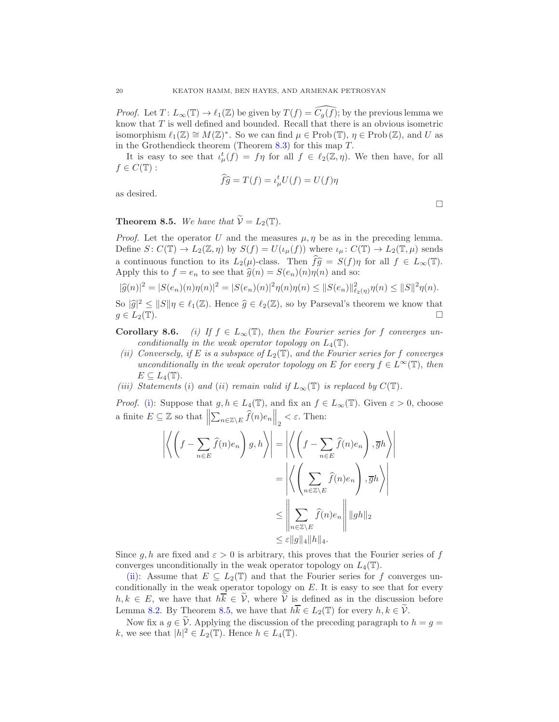*Proof.* Let  $T: L_{\infty}(\mathbb{T}) \to \ell_1(\mathbb{Z})$  be given by  $T(f) = \widetilde{C}_q(f)$ ; by the previous lemma we know that T is well defined and bounded. Recall that there is an obvious isometric isomorphism  $\ell_1(\mathbb{Z}) \cong M(\mathbb{Z})^*$ . So we can find  $\mu \in \text{Prob}(\mathbb{T})$ ,  $\eta \in \text{Prob}(\mathbb{Z})$ , and U as in the Grothendieck theorem (Theorem  $8.3$ ) for this map T.

It is easy to see that  $\iota^t_\mu(f) = f\eta$  for all  $f \in \ell_2(\mathbb{Z}, \eta)$ . We then have, for all  $f \in C(\mathbb{T})$ :

$$
\widehat{f}\widehat{g} = T(f) = \iota_{\mu}^t U(f) = U(f)\eta
$$

as desired.

# <span id="page-19-2"></span>**Theorem 8.5.** We have that  $\widetilde{V} = L_2(\mathbb{T})$ .

*Proof.* Let the operator U and the measures  $\mu$ ,  $\eta$  be as in the preceding lemma. Define  $S: C(\mathbb{T}) \to L_2(\mathbb{Z}, \eta)$  by  $S(f) = U(\iota_\mu(f))$  where  $\iota_\mu: C(\mathbb{T}) \to L_2(\mathbb{T}, \mu)$  sends a continuous function to its  $L_2(\mu)$ -class. Then  $f\hat{g} = S(f)\eta$  for all  $f \in L_\infty(\mathbb{T})$ . Apply this to  $f = e_n$  to see that  $\hat{g}(n) = S(e_n)(n)\eta(n)$  and so:

$$
|\widehat{g}(n)|^2 = |S(e_n)(n)\eta(n)|^2 = |S(e_n)(n)|^2 \eta(n)\eta(n) \leq ||S(e_n)||^2_{\ell_2(\eta)}\eta(n) \leq ||S||^2 \eta(n).
$$

So  $|\hat{g}|^2 \le ||S||\eta \in \ell_1(\mathbb{Z})$ . Hence  $\hat{g} \in \ell_2(\mathbb{Z})$ , so by Parseval's theorem we know that  $g \in L_2(\mathbb{T})$ .

<span id="page-19-0"></span>**Corollary 8.6.** (i) If  $f \in L_{\infty}(\mathbb{T})$ , then the Fourier series for f converges unconditionally in the weak operator topology on  $L_4(\mathbb{T})$ .

- <span id="page-19-1"></span>(ii) Conversely, if E is a subspace of  $L_2(\mathbb{T})$ , and the Fourier series for f converges unconditionally in the weak operator topology on E for every  $f \in L^{\infty}(\mathbb{T})$ , then  $E \subseteq L_4(\mathbb{T}).$
- (iii) Statements (i) and (ii) remain valid if  $L_{\infty}(\mathbb{T})$  is replaced by  $C(\mathbb{T})$ .

*Proof.* [\(i\)](#page-19-0): Suppose that  $g, h \in L_4(\mathbb{T})$ , and fix an  $f \in L_\infty(\mathbb{T})$ . Given  $\varepsilon > 0$ , choose a finite  $E \subseteq \mathbb{Z}$  so that  $\parallel$  $\sum_{n\in\mathbb{Z}\setminus E}\widehat{f}(n)e_n\Big\|_2 < \varepsilon.$  Then:

$$
\left| \left\langle \left( f - \sum_{n \in E} \hat{f}(n) e_n \right) g, h \right\rangle \right| = \left| \left\langle \left( f - \sum_{n \in E} \hat{f}(n) e_n \right), \overline{g} h \right\rangle \right|
$$

$$
= \left| \left\langle \left( \sum_{n \in \mathbb{Z} \setminus E} \hat{f}(n) e_n \right), \overline{g} h \right\rangle \right|
$$

$$
\leq \left\| \sum_{n \in \mathbb{Z} \setminus E} \hat{f}(n) e_n \right\| \|gh\|_2
$$

$$
\leq \varepsilon \|g\|_4 \|h\|_4.
$$

Since g, h are fixed and  $\varepsilon > 0$  is arbitrary, this proves that the Fourier series of f converges unconditionally in the weak operator topology on  $L_4(\mathbb{T})$ .

[\(ii\)](#page-19-1): Assume that  $E \subseteq L_2(\mathbb{T})$  and that the Fourier series for f converges unconditionally in the weak operator topology on  $E$ . It is easy to see that for every  $h, k \in E$ , we have that  $h \overline{k} \in \widetilde{\mathcal{V}}$ , where  $\widetilde{\mathcal{V}}$  is defined as in the discussion before Lemma [8.2.](#page-17-3) By Theorem [8.5,](#page-19-2) we have that  $h\overline{k} \in L_2(\mathbb{T})$  for every  $h, k \in \mathcal{V}$ .

Now fix a  $g \in V$ . Applying the discussion of the preceding paragraph to  $h = g =$ k, we see that  $|h|^2 \in L_2(\mathbb{T})$ . Hence  $h \in L_4(\mathbb{T})$ .

 $\Box$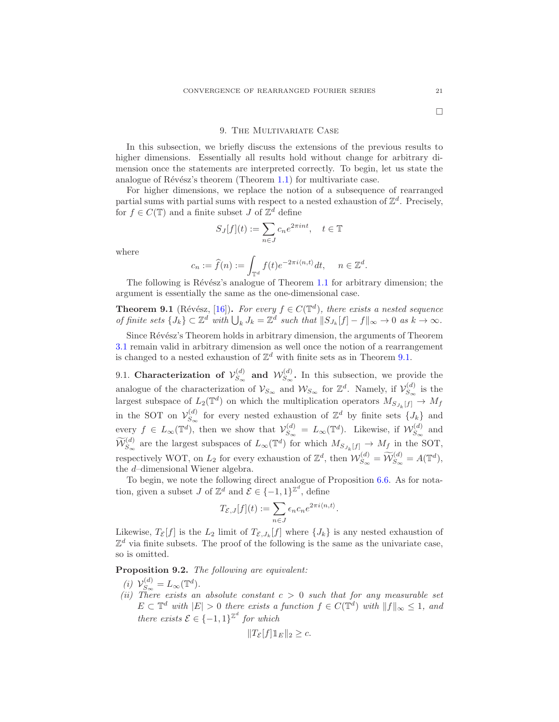<span id="page-20-0"></span>In this subsection, we briefly discuss the extensions of the previous results to higher dimensions. Essentially all results hold without change for arbitrary dimension once the statements are interpreted correctly. To begin, let us state the analogue of Révész's theorem (Theorem [1.1\)](#page-1-1) for multivariate case.

For higher dimensions, we replace the notion of a subsequence of rearranged partial sums with partial sums with respect to a nested exhaustion of  $\mathbb{Z}^d$ . Precisely, for  $f \in C(\mathbb{T})$  and a finite subset J of  $\mathbb{Z}^d$  define

$$
S_J[f](t) := \sum_{n \in J} c_n e^{2\pi i n t}, \quad t \in \mathbb{T}
$$

where

$$
c_n := \widehat{f}(n) := \int_{\mathbb{T}^d} f(t)e^{-2\pi i \langle n, t \rangle} dt, \quad n \in \mathbb{Z}^d.
$$

The following is Révész's analogue of Theorem [1.1](#page-1-1) for arbitrary dimension; the argument is essentially the same as the one-dimensional case.

<span id="page-20-1"></span>**Theorem 9.1** (Révész, [\[16\]](#page-24-14)). For every  $f \in C(\mathbb{T}^d)$ , there exists a nested sequence of finite sets  $\{J_k\} \subset \mathbb{Z}^d$  with  $\bigcup_k J_k = \mathbb{Z}^d$  such that  $||S_{J_k}[f] - f||_{\infty} \to 0$  as  $k \to \infty$ .

Since Révész's Theorem holds in arbitrary dimension, the arguments of Theorem [3.1](#page-5-1) remain valid in arbitrary dimension as well once the notion of a rearrangement is changed to a nested exhaustion of  $\mathbb{Z}^d$  with finite sets as in Theorem [9.1.](#page-20-1)

9.1. Characterization of  $\mathcal{V}_{S_{\infty}}^{(d)}$  $\mathcal{W}_{S_\infty}^{(d)}$  and  $\mathcal{W}_{S_\infty}^{(d)}$  $S_{\infty}^{(a)}$ . In this subsection, we provide the analogue of the characterization of  $\mathcal{V}_{S_{\infty}}$  and  $\mathcal{W}_{S_{\infty}}$  for  $\mathbb{Z}^d$ . Namely, if  $\mathcal{V}_{S_{\infty}}^{(d)}$  is the largest subspace of  $L_2(\mathbb{T}^d)$  on which the multiplication operators  $M_{S_{J_k}[f]} \to M_f$ in the SOT on  $\mathcal{V}_{S_{\infty}}^{(d)}$  $S_{\infty}^{(d)}$  for every nested exhaustion of  $\mathbb{Z}^{d}$  by finite sets  $\{J_{k}\}\$ and every  $f \in L_{\infty}(\mathbb{T}^d)$ , then we show that  $\mathcal{V}_{S_{\infty}}^{(d)}$  $S_{\infty}^{(d)} = L_{\infty}(\mathbb{T}^d)$ . Likewise, if  $\mathcal{W}_{S_{\infty}}^{(d)}$  $\int_{S_{\infty}}^{(u)}$  and  $\widetilde{\mathcal{W}}_{S_{\infty}}^{(d)}$  are the largest subspaces of  $L_{\infty}(\mathbb{T}^d)$  for which  $M_{S_{J_k}[f]} \to M_f$  in the SOT, respectively WOT, on  $L_2$  for every exhaustion of  $\mathbb{Z}^d$ , then  $\mathcal{W}_{S_{\infty}}^{(d)} = \widetilde{\mathcal{W}}_{S_{\infty}}^{(d)} = A(\mathbb{T}^d)$ , the d–dimensional Wiener algebra.

To begin, we note the following direct analogue of Proposition  $6.6$ . As for notation, given a subset  $J$  of  $\mathbb{Z}^d$  and  $\mathcal{E} \in \{-1,1\}^{\mathbb{Z}^d}$ , define

$$
T_{\mathcal{E},J}[f](t) := \sum_{n \in J} \epsilon_n c_n e^{2\pi i \langle n,t \rangle}.
$$

Likewise,  $T_{\mathcal{E}}[f]$  is the  $L_2$  limit of  $T_{\mathcal{E},J_k}[f]$  where  $\{J_k\}$  is any nested exhaustion of  $\mathbb{Z}^d$  via finite subsets. The proof of the following is the same as the univariate case, so is omitted.

<span id="page-20-2"></span>Proposition 9.2. The following are equivalent:

- (i)  $\mathcal{V}_{S_{\infty}}^{(d)}$  $S_{\infty}^{(d)} = L_{\infty}(\mathbb{T}^d).$
- (ii) There exists an absolute constant  $c > 0$  such that for any measurable set  $E \subset \mathbb{T}^d$  with  $|E| > 0$  there exists a function  $f \in C(\mathbb{T}^d)$  with  $||f||_{\infty} \leq 1$ , and there exists  $\mathcal{E} \in \{-1,1\}^{\mathbb{Z}^d}$  for which

$$
||T_{\mathcal{E}}[f]1||_E||_2 \geq c.
$$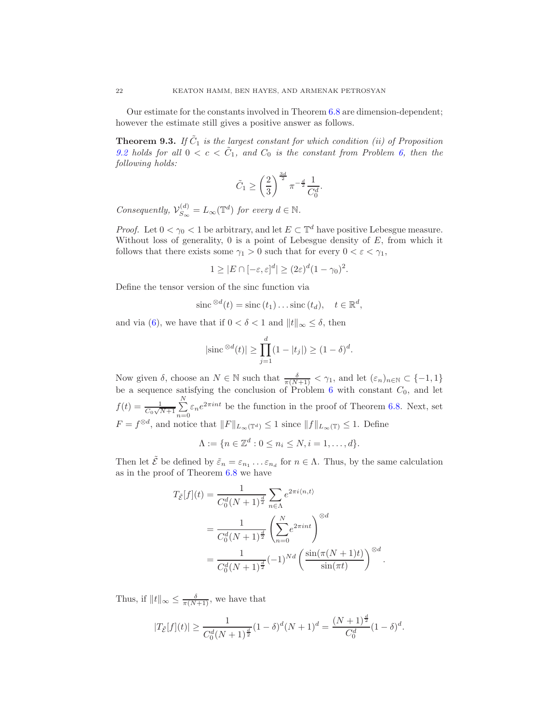Our estimate for the constants involved in Theorem [6.8](#page-13-2) are dimension-dependent; however the estimate still gives a positive answer as follows.

**Theorem 9.3.** If  $\tilde{C}_1$  is the largest constant for which condition (ii) of Proposition [9.2](#page-20-2) holds for all  $0 < c < \tilde{C}_1$ , and  $C_0$  is the constant from Problem [6,](#page-12-1) then the following holds:

$$
\tilde{C}_1 \ge \left(\frac{2}{3}\right)^{\frac{3d}{2}} \pi^{-\frac{d}{2}} \frac{1}{C_0^d}.
$$

Consequently,  $\mathcal{V}_{S_{\infty}}^{(d)}$  $S_{\infty}^{(d)} = L_{\infty}(\mathbb{T}^d)$  for every  $d \in \mathbb{N}$ .

*Proof.* Let  $0 < \gamma_0 < 1$  be arbitrary, and let  $E \subset \mathbb{T}^d$  have positive Lebesgue measure. Without loss of generality,  $0$  is a point of Lebesgue density of  $E$ , from which it follows that there exists some  $\gamma_1 > 0$  such that for every  $0 < \varepsilon < \gamma_1$ ,

$$
1 \geq |E \cap [-\varepsilon, \varepsilon]^d| \geq (2\varepsilon)^d (1 - \gamma_0)^2.
$$

Define the tensor version of the sinc function via

$$
\operatorname{sinc}^{\otimes d}(t) = \operatorname{sinc}(t_1) \dots \operatorname{sinc}(t_d), \quad t \in \mathbb{R}^d,
$$

and via [\(6\)](#page-13-0), we have that if  $0 < \delta < 1$  and  $||t||_{\infty} \leq \delta$ , then

$$
|\text{sinc}^{\otimes d}(t)| \ge \prod_{j=1}^{d} (1 - |t_j|) \ge (1 - \delta)^d.
$$

Now given  $\delta$ , choose an  $N \in \mathbb{N}$  such that  $\frac{\delta}{\pi(N+1)} < \gamma_1$ , and let  $(\varepsilon_n)_{n \in \mathbb{N}} \subset \{-1, 1\}$ be a sequence satisfying the conclusion of Problem [6](#page-12-1) with constant  $C_0$ , and let  $f(t) = \frac{1}{C_0\sqrt{N+1}}\sum_{n=0}^{N}$  $\sum_{n=0} \varepsilon_n e^{2\pi int}$  be the function in the proof of Theorem [6.8.](#page-13-2) Next, set  $F = f^{\otimes d}$ , and notice that  $||F||_{L_{\infty}(\mathbb{T}^d)} \leq 1$  since  $||f||_{L_{\infty}(\mathbb{T})} \leq 1$ . Define

$$
\Lambda := \{ n \in \mathbb{Z}^d : 0 \le n_i \le N, i = 1, \dots, d \}.
$$

Then let  $\tilde{\mathcal{E}}$  be defined by  $\tilde{\varepsilon}_n = \varepsilon_{n_1} \dots \varepsilon_{n_d}$  for  $n \in \Lambda$ . Thus, by the same calculation as in the proof of Theorem [6.8](#page-13-2) we have

$$
T_{\tilde{\mathcal{E}}}[f](t) = \frac{1}{C_0^d (N+1)^{\frac{d}{2}}} \sum_{n \in \Lambda} e^{2\pi i \langle n, t \rangle}
$$
  
= 
$$
\frac{1}{C_0^d (N+1)^{\frac{d}{2}}} \left( \sum_{n=0}^N e^{2\pi i nt} \right)^{\otimes d}
$$
  
= 
$$
\frac{1}{C_0^d (N+1)^{\frac{d}{2}}} (-1)^{Nd} \left( \frac{\sin(\pi (N+1)t)}{\sin(\pi t)} \right)^{\otimes d}.
$$

Thus, if  $||t||_{\infty} \leq \frac{\delta}{\pi(N+1)}$ , we have that

$$
|T_{\tilde{\mathcal{E}}}[f](t)| \ge \frac{1}{C_0^d (N+1)^{\frac{d}{2}}} (1-\delta)^d (N+1)^d = \frac{(N+1)^{\frac{d}{2}}}{C_0^d} (1-\delta)^d.
$$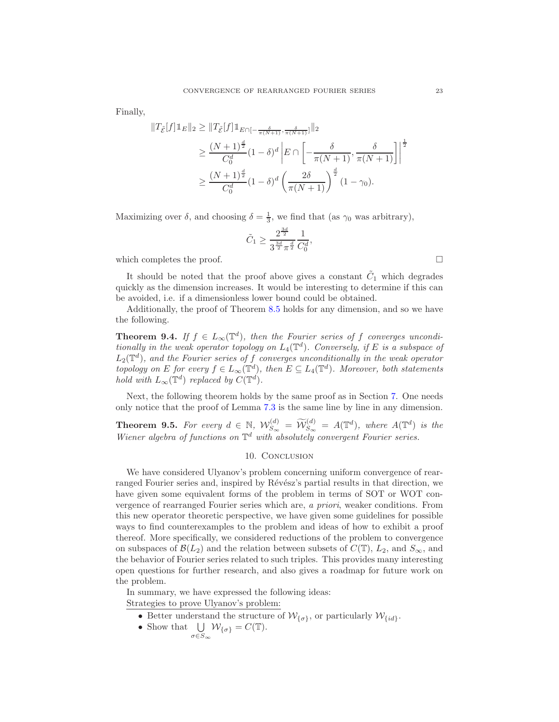Finally,

$$
\begin{split} \|T_{\tilde{\mathcal{E}}}[f]\mathbbm{1}_{E}\|_{2} &\geq \|T_{\tilde{\mathcal{E}}}[f]\mathbbm{1}_{E\cap[-\frac{\delta}{\pi(N+1)},\frac{\delta}{\pi(N+1)}]}\|_{2} \\ &\geq \frac{(N+1)^{\frac{d}{2}}}{C_{0}^{d}}(1-\delta)^{d} \left|E\cap\left[-\frac{\delta}{\pi(N+1)},\frac{\delta}{\pi(N+1)}\right]\right|^{\frac{1}{2}} \\ &\geq \frac{(N+1)^{\frac{d}{2}}}{C_{0}^{d}}(1-\delta)^{d} \left(\frac{2\delta}{\pi(N+1)}\right)^{\frac{d}{2}}(1-\gamma_{0}). \end{split}
$$

Maximizing over  $\delta$ , and choosing  $\delta = \frac{1}{3}$ , we find that (as  $\gamma_0$  was arbitrary),

$$
\tilde{C}_1 \ge \frac{2^{\frac{3d}{2}}}{3^{\frac{3d}{2}} \pi^{\frac{d}{2}}} \frac{1}{C_0^d},
$$

which completes the proof.  $\Box$ 

It should be noted that the proof above gives a constant  $\tilde{C}_1$  which degrades quickly as the dimension increases. It would be interesting to determine if this can be avoided, i.e. if a dimensionless lower bound could be obtained.

Additionally, the proof of Theorem [8.5](#page-19-2) holds for any dimension, and so we have the following.

**Theorem 9.4.** If  $f \in L_\infty(\mathbb{T}^d)$ , then the Fourier series of f converges unconditionally in the weak operator topology on  $L_4(\mathbb{T}^d)$ . Conversely, if E is a subspace of  $L_2(\mathbb{T}^d)$ , and the Fourier series of f converges unconditionally in the weak operator topology on E for every  $f \in L_{\infty}(\mathbb{T}^d)$ , then  $E \subseteq L_4(\mathbb{T}^d)$ . Moreover, both statements hold with  $L_{\infty}(\mathbb{T}^d)$  replaced by  $C(\mathbb{T}^d)$ .

Next, the following theorem holds by the same proof as in Section [7.](#page-14-0) One needs only notice that the proof of Lemma 7.3 is the same line by line in any dimension.

<span id="page-22-0"></span>**Theorem 9.5.** For every  $d \in \mathbb{N}$ ,  $\mathcal{W}_{S_{\infty}}^{(d)} = \widetilde{\mathcal{W}}_{S_{\infty}}^{(d)} = A(\mathbb{T}^d)$ , where  $A(\mathbb{T}^d)$  is the Wiener algebra of functions on  $\mathbb{T}^d$  with absolutely convergent Fourier series.

# 10. CONCLUSION

We have considered Ulyanov's problem concerning uniform convergence of rearranged Fourier series and, inspired by Révész's partial results in that direction, we have given some equivalent forms of the problem in terms of SOT or WOT convergence of rearranged Fourier series which are, a priori, weaker conditions. From this new operator theoretic perspective, we have given some guidelines for possible ways to find counterexamples to the problem and ideas of how to exhibit a proof thereof. More specifically, we considered reductions of the problem to convergence on subspaces of  $\mathcal{B}(L_2)$  and the relation between subsets of  $C(\mathbb{T})$ ,  $L_2$ , and  $S_{\infty}$ , and the behavior of Fourier series related to such triples. This provides many interesting open questions for further research, and also gives a roadmap for future work on the problem.

In summary, we have expressed the following ideas: Strategies to prove Ulyanov's problem:

- Better understand the structure of  $\mathcal{W}_{\{\sigma\}}$ , or particularly  $\mathcal{W}_{\{id\}}$ .
- Show that  $\bigcup_{\sigma \in S_{\infty}} \mathcal{W}_{\{\sigma\}} = C(\mathbb{T}).$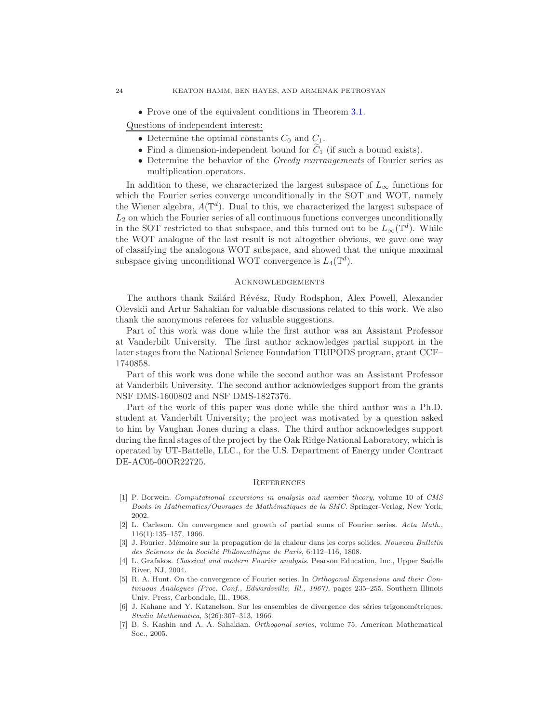• Prove one of the equivalent conditions in Theorem [3.1.](#page-5-1)

Questions of independent interest:

- Determine the optimal constants  $C_0$  and  $C_1$ .
- Find a dimension-independent bound for  $C_1$  (if such a bound exists).
- Determine the behavior of the Greedy rearrangements of Fourier series as multiplication operators.

In addition to these, we characterized the largest subspace of  $L_{\infty}$  functions for which the Fourier series converge unconditionally in the SOT and WOT, namely the Wiener algebra,  $A(\mathbb{T}^d)$ . Dual to this, we characterized the largest subspace of  $L<sub>2</sub>$  on which the Fourier series of all continuous functions converges unconditionally in the SOT restricted to that subspace, and this turned out to be  $L_{\infty}(\mathbb{T}^d)$ . While the WOT analogue of the last result is not altogether obvious, we gave one way of classifying the analogous WOT subspace, and showed that the unique maximal subspace giving unconditional WOT convergence is  $L_4(\mathbb{T}^d)$ .

#### Acknowledgements

The authors thank Szilárd Révész, Rudy Rodsphon, Alex Powell, Alexander Olevskii and Artur Sahakian for valuable discussions related to this work. We also thank the anonymous referees for valuable suggestions.

Part of this work was done while the first author was an Assistant Professor at Vanderbilt University. The first author acknowledges partial support in the later stages from the National Science Foundation TRIPODS program, grant CCF– 1740858.

Part of this work was done while the second author was an Assistant Professor at Vanderbilt University. The second author acknowledges support from the grants NSF DMS-1600802 and NSF DMS-1827376.

Part of the work of this paper was done while the third author was a Ph.D. student at Vanderbilt University; the project was motivated by a question asked to him by Vaughan Jones during a class. The third author acknowledges support during the final stages of the project by the Oak Ridge National Laboratory, which is operated by UT-Battelle, LLC., for the U.S. Department of Energy under Contract DE-AC05-00OR22725.

#### **REFERENCES**

- <span id="page-23-6"></span>[1] P. Borwein. *Computational excursions in analysis and number theory*, volume 10 of *CMS Books in Mathematics/Ouvrages de Math´ematiques de la SMC*. Springer-Verlag, New York, 2002.
- <span id="page-23-2"></span>[2] L. Carleson. On convergence and growth of partial sums of Fourier series. *Acta Math.*, 116(1):135–157, 1966.
- <span id="page-23-0"></span>[3] J. Fourier. M´emoire sur la propagation de la chaleur dans les corps solides. *Nouveau Bulletin* des Sciences de la Société Philomathique de Paris, 6:112-116, 1808.
- <span id="page-23-4"></span>[4] L. Grafakos. *Classical and modern Fourier analysis*. Pearson Education, Inc., Upper Saddle River, NJ, 2004.
- <span id="page-23-3"></span>[5] R. A. Hunt. On the convergence of Fourier series. In *Orthogonal Expansions and their Continuous Analogues (Proc. Conf., Edwardsville, Ill., 1967)*, pages 235–255. Southern Illinois Univ. Press, Carbondale, Ill., 1968.
- <span id="page-23-1"></span>[6] J. Kahane and Y. Katznelson. Sur les ensembles de divergence des séries trigonométriques. *Studia Mathematica*, 3(26):307–313, 1966.
- <span id="page-23-5"></span>[7] B. S. Kashin and A. A. Sahakian. *Orthogonal series*, volume 75. American Mathematical Soc., 2005.